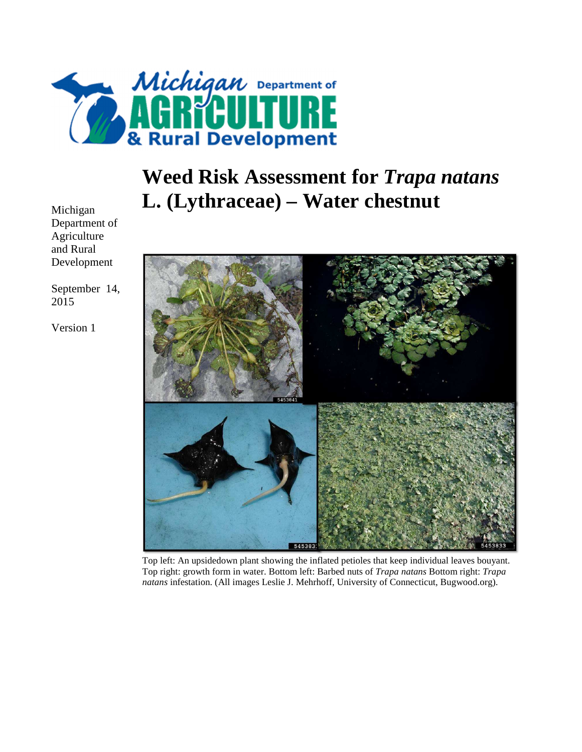

# **Weed Risk Assessment for** *Trapa natans*  **L. (Lythraceae) – Water chestnut**

54538

Top left: An upsidedown plant showing the inflated petioles that keep individual leaves bouyant. Top right: growth form in water. Bottom left: Barbed nuts of *Trapa natans* Bottom right: *Trapa natans* infestation. (All images Leslie J. Mehrhoff, University of Connecticut, Bugwood.org).

Michigan Department of Agriculture and Rural Development

September 14, 2015

Version 1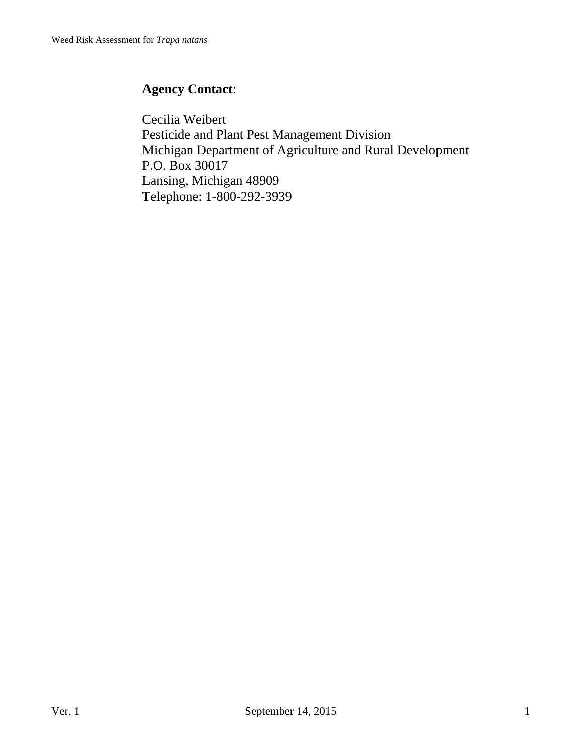## **Agency Contact**:

Cecilia Weibert Pesticide and Plant Pest Management Division Michigan Department of Agriculture and Rural Development P.O. Box 30017 Lansing, Michigan 48909 Telephone: 1-800-292-3939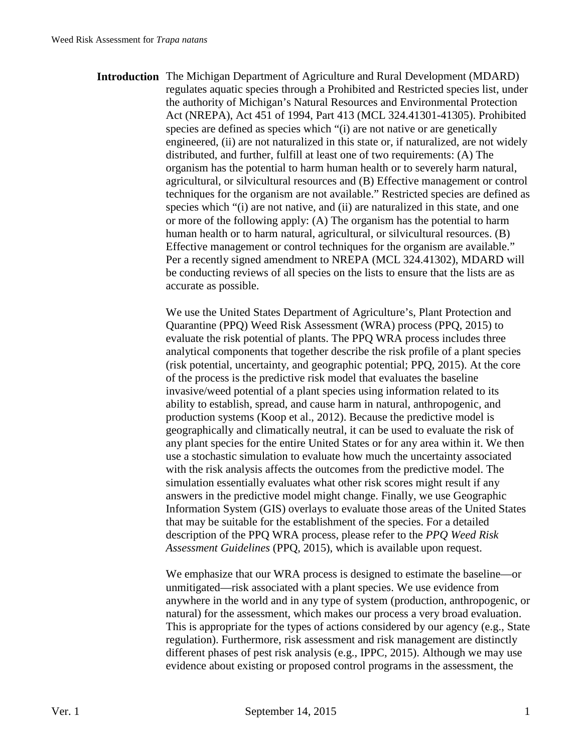**Introduction** The Michigan Department of Agriculture and Rural Development (MDARD) regulates aquatic species through a Prohibited and Restricted species list, under the authority of Michigan's Natural Resources and Environmental Protection Act (NREPA), Act 451 of 1994, Part 413 (MCL 324.41301-41305). Prohibited species are defined as species which "(i) are not native or are genetically engineered, (ii) are not naturalized in this state or, if naturalized, are not widely distributed, and further, fulfill at least one of two requirements: (A) The organism has the potential to harm human health or to severely harm natural, agricultural, or silvicultural resources and (B) Effective management or control techniques for the organism are not available." Restricted species are defined as species which "(i) are not native, and (ii) are naturalized in this state, and one or more of the following apply: (A) The organism has the potential to harm human health or to harm natural, agricultural, or silvicultural resources. (B) Effective management or control techniques for the organism are available." Per a recently signed amendment to NREPA (MCL 324.41302), MDARD will be conducting reviews of all species on the lists to ensure that the lists are as accurate as possible.

> We use the United States Department of Agriculture's, Plant Protection and Quarantine (PPQ) Weed Risk Assessment (WRA) process (PPQ, 2015) to evaluate the risk potential of plants. The PPQ WRA process includes three analytical components that together describe the risk profile of a plant species (risk potential, uncertainty, and geographic potential; PPQ, 2015). At the core of the process is the predictive risk model that evaluates the baseline invasive/weed potential of a plant species using information related to its ability to establish, spread, and cause harm in natural, anthropogenic, and production systems (Koop et al., 2012). Because the predictive model is geographically and climatically neutral, it can be used to evaluate the risk of any plant species for the entire United States or for any area within it. We then use a stochastic simulation to evaluate how much the uncertainty associated with the risk analysis affects the outcomes from the predictive model. The simulation essentially evaluates what other risk scores might result if any answers in the predictive model might change. Finally, we use Geographic Information System (GIS) overlays to evaluate those areas of the United States that may be suitable for the establishment of the species. For a detailed description of the PPQ WRA process, please refer to the *PPQ Weed Risk Assessment Guidelines* (PPQ, 2015), which is available upon request.

> We emphasize that our WRA process is designed to estimate the baseline—or unmitigated—risk associated with a plant species. We use evidence from anywhere in the world and in any type of system (production, anthropogenic, or natural) for the assessment, which makes our process a very broad evaluation. This is appropriate for the types of actions considered by our agency (e.g., State regulation). Furthermore, risk assessment and risk management are distinctly different phases of pest risk analysis (e.g., IPPC, 2015). Although we may use evidence about existing or proposed control programs in the assessment, the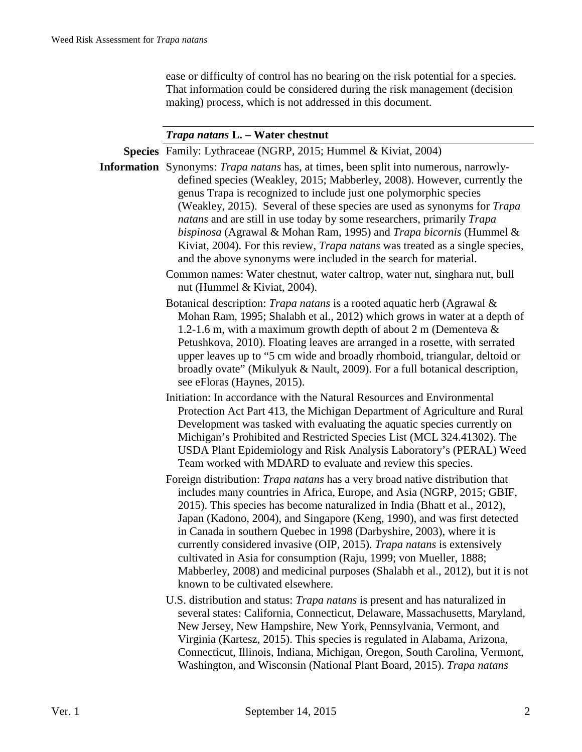ease or difficulty of control has no bearing on the risk potential for a species. That information could be considered during the risk management (decision making) process, which is not addressed in this document.

#### *Trapa natans* **L. – Water chestnut**

**Species** Family: Lythraceae (NGRP, 2015; Hummel & Kiviat, 2004) **Information** Synonyms: *Trapa natans* has, at times, been split into numerous, narrowlydefined species (Weakley, 2015; Mabberley, 2008). However, currently the genus Trapa is recognized to include just one polymorphic species (Weakley, 2015). Several of these species are used as synonyms for *Trapa natans* and are still in use today by some researchers, primarily *Trapa bispinosa* (Agrawal & Mohan Ram, 1995) and *Trapa bicornis* (Hummel & Kiviat, 2004). For this review, *Trapa natans* was treated as a single species, and the above synonyms were included in the search for material. Common names: Water chestnut, water caltrop, water nut, singhara nut, bull nut (Hummel & Kiviat, 2004). Botanical description: *Trapa natans* is a rooted aquatic herb (Agrawal & Mohan Ram, 1995; Shalabh et al., 2012) which grows in water at a depth of 1.2-1.6 m, with a maximum growth depth of about 2 m (Dementeva & Petushkova, 2010). Floating leaves are arranged in a rosette, with serrated upper leaves up to "5 cm wide and broadly rhomboid, triangular, deltoid or broadly ovate" (Mikulyuk & Nault, 2009). For a full botanical description, see eFloras (Haynes, 2015). Initiation: In accordance with the Natural Resources and Environmental Protection Act Part 413, the Michigan Department of Agriculture and Rural Development was tasked with evaluating the aquatic species currently on Michigan's Prohibited and Restricted Species List (MCL 324.41302). The USDA Plant Epidemiology and Risk Analysis Laboratory's (PERAL) Weed Team worked with MDARD to evaluate and review this species. Foreign distribution: *Trapa natans* has a very broad native distribution that includes many countries in Africa, Europe, and Asia (NGRP, 2015; GBIF, 2015). This species has become naturalized in India (Bhatt et al., 2012), Japan (Kadono, 2004), and Singapore (Keng, 1990), and was first detected in Canada in southern Quebec in 1998 (Darbyshire, 2003), where it is currently considered invasive (OIP, 2015). *Trapa natans* is extensively cultivated in Asia for consumption (Raju, 1999; von Mueller, 1888; Mabberley, 2008) and medicinal purposes (Shalabh et al., 2012), but it is not known to be cultivated elsewhere. U.S. distribution and status: *Trapa natans* is present and has naturalized in several states: California, Connecticut, Delaware, Massachusetts, Maryland,

New Jersey, New Hampshire, New York, Pennsylvania, Vermont, and Virginia (Kartesz, 2015). This species is regulated in Alabama, Arizona, Connecticut, Illinois, Indiana, Michigan, Oregon, South Carolina, Vermont, Washington, and Wisconsin (National Plant Board, 2015). *Trapa natans*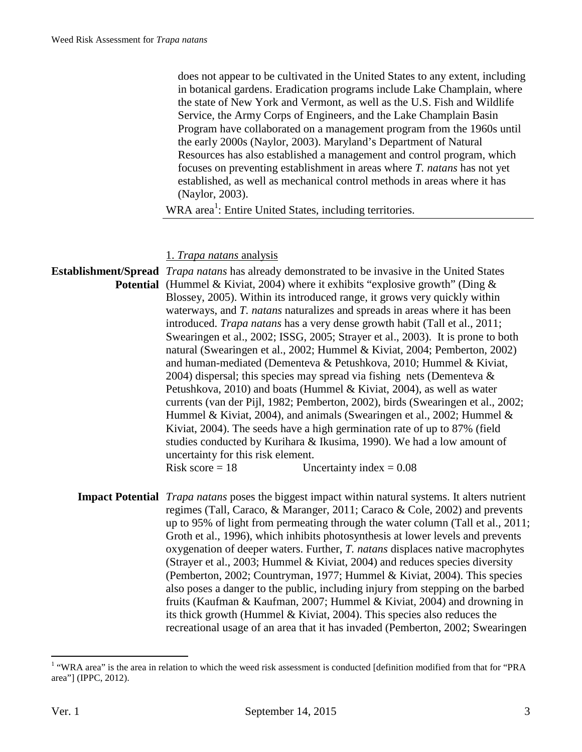does not appear to be cultivated in the United States to any extent, including in botanical gardens. Eradication programs include Lake Champlain, where the state of New York and Vermont, as well as the U.S. Fish and Wildlife Service, the Army Corps of Engineers, and the Lake Champlain Basin Program have collaborated on a management program from the 1960s until the early 2000s (Naylor, 2003). Maryland's Department of Natural Resources has also established a management and control program, which focuses on preventing establishment in areas where *T. natans* has not yet established, as well as mechanical control methods in areas where it has (Naylor, 2003).

WRA area<sup>1</sup>: Entire United States, including territories.

#### 1. *Trapa natans* analysis

**Establishment/Spread**  *Trapa natans* has already demonstrated to be invasive in the United States **Potential** (Hummel & Kiviat, 2004) where it exhibits "explosive growth" (Ding & Blossey, 2005). Within its introduced range, it grows very quickly within waterways, and *T. natans* naturalizes and spreads in areas where it has been introduced. *Trapa natans* has a very dense growth habit (Tall et al., 2011; Swearingen et al., 2002; ISSG, 2005; Strayer et al., 2003). It is prone to both natural (Swearingen et al., 2002; Hummel & Kiviat, 2004; Pemberton, 2002) and human-mediated (Dementeva & Petushkova, 2010; Hummel & Kiviat, 2004) dispersal; this species may spread via fishing nets (Dementeva  $\&$ Petushkova, 2010) and boats (Hummel & Kiviat, 2004), as well as water currents (van der Pijl, 1982; Pemberton, 2002), birds (Swearingen et al., 2002; Hummel & Kiviat, 2004), and animals (Swearingen et al., 2002; Hummel & Kiviat, 2004). The seeds have a high germination rate of up to 87% (field studies conducted by Kurihara & Ikusima, 1990). We had a low amount of uncertainty for this risk element. Risk score  $= 18$  Uncertainty index  $= 0.08$ 

**Impact Potential** *Trapa natans* poses the biggest impact within natural systems. It alters nutrient regimes (Tall, Caraco, & Maranger, 2011; Caraco & Cole, 2002) and prevents up to 95% of light from permeating through the water column (Tall et al., 2011; Groth et al., 1996), which inhibits photosynthesis at lower levels and prevents oxygenation of deeper waters. Further, *T. natans* displaces native macrophytes (Strayer et al., 2003; Hummel & Kiviat, 2004) and reduces species diversity (Pemberton, 2002; Countryman, 1977; Hummel & Kiviat, 2004). This species also poses a danger to the public, including injury from stepping on the barbed fruits (Kaufman & Kaufman, 2007; Hummel & Kiviat, 2004) and drowning in its thick growth (Hummel & Kiviat, 2004). This species also reduces the recreational usage of an area that it has invaded (Pemberton, 2002; Swearingen

The area is the area in relation to which the weed risk assessment is conducted [definition modified from that for "PRA" area"] (IPPC, 2012).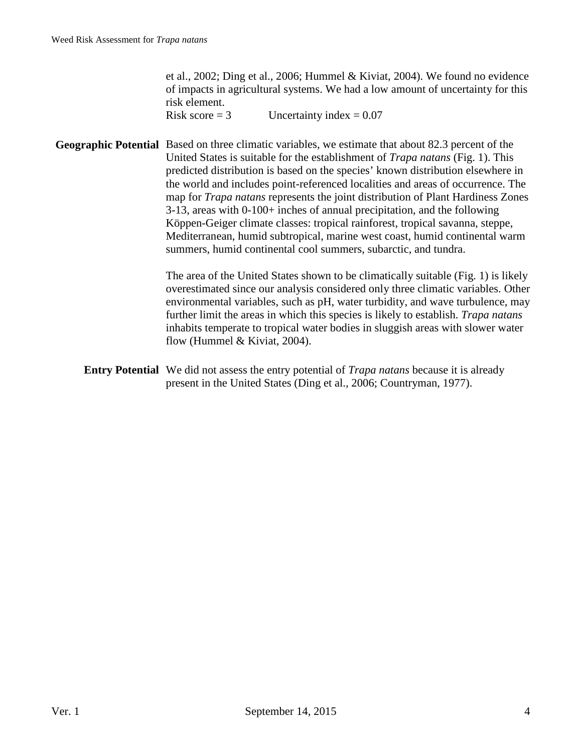et al., 2002; Ding et al., 2006; Hummel & Kiviat, 2004). We found no evidence of impacts in agricultural systems. We had a low amount of uncertainty for this risk element.

Risk score  $= 3$  Uncertainty index  $= 0.07$ 

**Geographic Potential** Based on three climatic variables, we estimate that about 82.3 percent of the United States is suitable for the establishment of *Trapa natans* (Fig. 1). This predicted distribution is based on the species' known distribution elsewhere in the world and includes point-referenced localities and areas of occurrence. The map for *Trapa natans* represents the joint distribution of Plant Hardiness Zones 3-13, areas with 0-100+ inches of annual precipitation, and the following Köppen-Geiger climate classes: tropical rainforest, tropical savanna, steppe, Mediterranean, humid subtropical, marine west coast, humid continental warm summers, humid continental cool summers, subarctic, and tundra.

> The area of the United States shown to be climatically suitable (Fig. 1) is likely overestimated since our analysis considered only three climatic variables. Other environmental variables, such as pH, water turbidity, and wave turbulence, may further limit the areas in which this species is likely to establish. *Trapa natans* inhabits temperate to tropical water bodies in sluggish areas with slower water flow (Hummel & Kiviat, 2004).

**Entry Potential** We did not assess the entry potential of *Trapa natans* because it is already present in the United States (Ding et al., 2006; Countryman, 1977).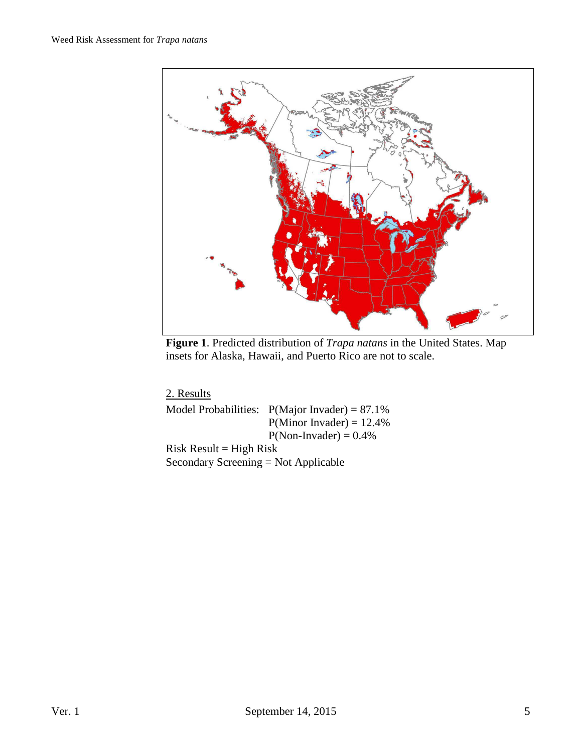

**Figure 1**. Predicted distribution of *Trapa natans* in the United States. Map insets for Alaska, Hawaii, and Puerto Rico are not to scale.

| 2. Results                           |                                                  |
|--------------------------------------|--------------------------------------------------|
|                                      | Model Probabilities: $P(Major Invader) = 87.1\%$ |
|                                      | $P(Minor Invader) = 12.4\%$                      |
|                                      | $P(Non- Invader) = 0.4\%$                        |
| $Risk Result = High Risk$            |                                                  |
| Secondary Screening = Not Applicable |                                                  |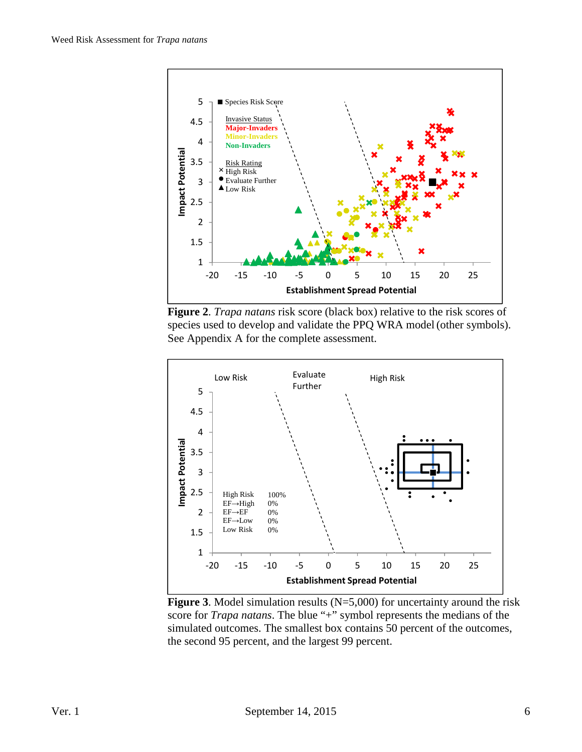

**Figure 2**. *Trapa natans* risk score (black box) relative to the risk scores of species used to develop and validate the PPQ WRA model (other symbols). See Appendix A for the complete assessment.



**Figure 3**. Model simulation results (N=5,000) for uncertainty around the risk score for *Trapa natans*. The blue "+" symbol represents the medians of the simulated outcomes. The smallest box contains 50 percent of the outcomes, the second 95 percent, and the largest 99 percent.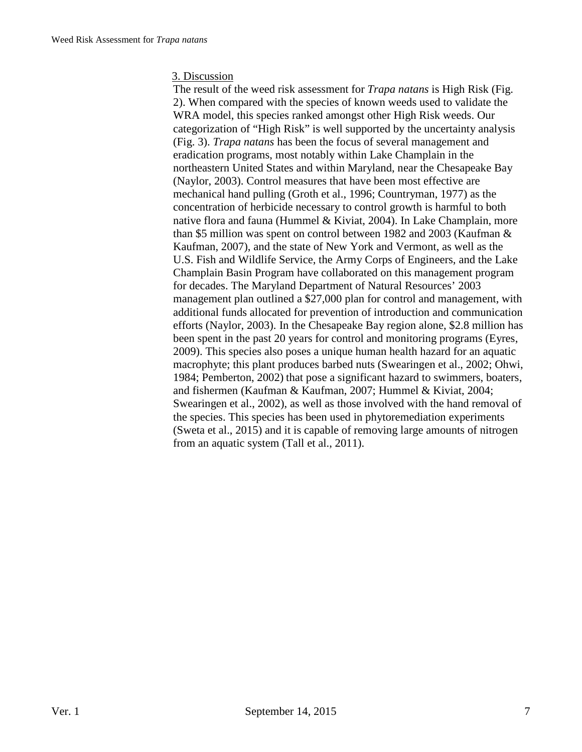#### 3. Discussion

The result of the weed risk assessment for *Trapa natans* is High Risk (Fig. 2). When compared with the species of known weeds used to validate the WRA model, this species ranked amongst other High Risk weeds. Our categorization of "High Risk" is well supported by the uncertainty analysis (Fig. 3). *Trapa natans* has been the focus of several management and eradication programs, most notably within Lake Champlain in the northeastern United States and within Maryland, near the Chesapeake Bay (Naylor, 2003). Control measures that have been most effective are mechanical hand pulling (Groth et al., 1996; Countryman, 1977) as the concentration of herbicide necessary to control growth is harmful to both native flora and fauna (Hummel & Kiviat, 2004). In Lake Champlain, more than \$5 million was spent on control between 1982 and 2003 (Kaufman & Kaufman, 2007), and the state of New York and Vermont, as well as the U.S. Fish and Wildlife Service, the Army Corps of Engineers, and the Lake Champlain Basin Program have collaborated on this management program for decades. The Maryland Department of Natural Resources' 2003 management plan outlined a \$27,000 plan for control and management, with additional funds allocated for prevention of introduction and communication efforts (Naylor, 2003). In the Chesapeake Bay region alone, \$2.8 million has been spent in the past 20 years for control and monitoring programs (Eyres, 2009). This species also poses a unique human health hazard for an aquatic macrophyte; this plant produces barbed nuts (Swearingen et al., 2002; Ohwi, 1984; Pemberton, 2002) that pose a significant hazard to swimmers, boaters, and fishermen (Kaufman & Kaufman, 2007; Hummel & Kiviat, 2004; Swearingen et al., 2002), as well as those involved with the hand removal of the species. This species has been used in phytoremediation experiments (Sweta et al., 2015) and it is capable of removing large amounts of nitrogen from an aquatic system (Tall et al., 2011).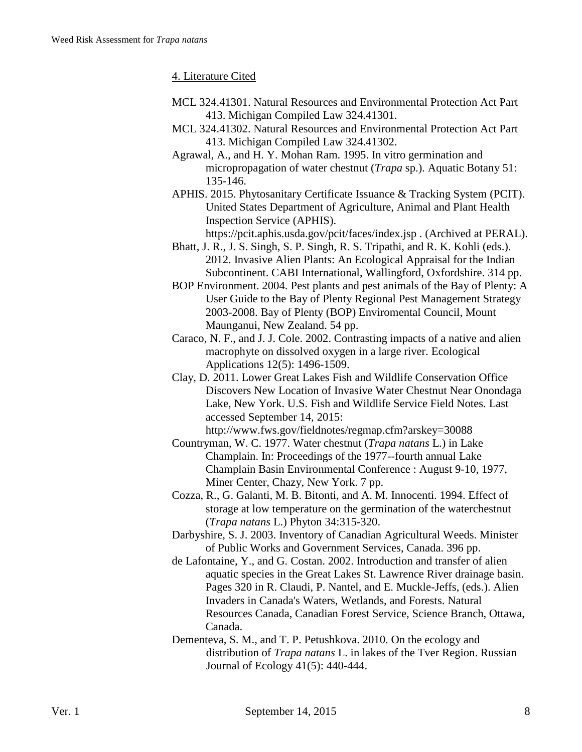### 4. Literature Cited

- MCL 324.41301. Natural Resources and Environmental Protection Act Part 413. Michigan Compiled Law 324.41301.
- MCL 324.41302. Natural Resources and Environmental Protection Act Part 413. Michigan Compiled Law 324.41302.
- Agrawal, A., and H. Y. Mohan Ram. 1995. In vitro germination and micropropagation of water chestnut (*Trapa* sp.). Aquatic Botany 51: 135-146.
- APHIS. 2015. Phytosanitary Certificate Issuance & Tracking System (PCIT). United States Department of Agriculture, Animal and Plant Health Inspection Service (APHIS).

https://pcit.aphis.usda.gov/pcit/faces/index.jsp . (Archived at PERAL).

- Bhatt, J. R., J. S. Singh, S. P. Singh, R. S. Tripathi, and R. K. Kohli (eds.). 2012. Invasive Alien Plants: An Ecological Appraisal for the Indian Subcontinent. CABI International, Wallingford, Oxfordshire. 314 pp.
- BOP Environment. 2004. Pest plants and pest animals of the Bay of Plenty: A User Guide to the Bay of Plenty Regional Pest Management Strategy 2003-2008. Bay of Plenty (BOP) Enviromental Council, Mount Maunganui, New Zealand. 54 pp.
- Caraco, N. F., and J. J. Cole. 2002. Contrasting impacts of a native and alien macrophyte on dissolved oxygen in a large river. Ecological Applications 12(5): 1496-1509.
- Clay, D. 2011. Lower Great Lakes Fish and Wildlife Conservation Office Discovers New Location of Invasive Water Chestnut Near Onondaga Lake, New York. U.S. Fish and Wildlife Service Field Notes. Last accessed September 14, 2015:

http://www.fws.gov/fieldnotes/regmap.cfm?arskey=30088

- Countryman, W. C. 1977. Water chestnut (*Trapa natans* L.) in Lake Champlain. In: Proceedings of the 1977--fourth annual Lake Champlain Basin Environmental Conference : August 9-10, 1977, Miner Center, Chazy, New York. 7 pp.
- Cozza, R., G. Galanti, M. B. Bitonti, and A. M. Innocenti. 1994. Effect of storage at low temperature on the germination of the waterchestnut (*Trapa natans* L.) Phyton 34:315-320.
- Darbyshire, S. J. 2003. Inventory of Canadian Agricultural Weeds. Minister of Public Works and Government Services, Canada. 396 pp.
- de Lafontaine, Y., and G. Costan. 2002. Introduction and transfer of alien aquatic species in the Great Lakes St. Lawrence River drainage basin. Pages 320 in R. Claudi, P. Nantel, and E. Muckle-Jeffs, (eds.). Alien Invaders in Canada's Waters, Wetlands, and Forests. Natural Resources Canada, Canadian Forest Service, Science Branch, Ottawa, Canada.
- Dementeva, S. M., and T. P. Petushkova. 2010. On the ecology and distribution of *Trapa natans* L. in lakes of the Tver Region. Russian Journal of Ecology 41(5): 440-444.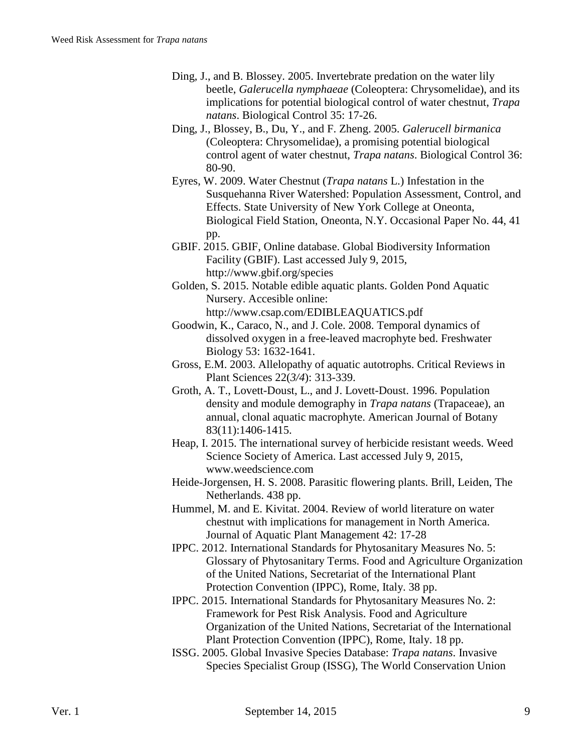- Ding, J., and B. Blossey. 2005. Invertebrate predation on the water lily beetle, *Galerucella nymphaeae* (Coleoptera: Chrysomelidae), and its implications for potential biological control of water chestnut, *Trapa natans*. Biological Control 35: 17-26.
- Ding, J., Blossey, B., Du, Y., and F. Zheng. 2005. *Galerucell birmanica* (Coleoptera: Chrysomelidae), a promising potential biological control agent of water chestnut, *Trapa natans*. Biological Control 36: 80-90.
- Eyres, W. 2009. Water Chestnut (*Trapa natans* L.) Infestation in the Susquehanna River Watershed: Population Assessment, Control, and Effects. State University of New York College at Oneonta, Biological Field Station, Oneonta, N.Y. Occasional Paper No. 44, 41 pp.
- GBIF. 2015. GBIF, Online database. Global Biodiversity Information Facility (GBIF). Last accessed July 9, 2015, http://www.gbif.org/species
- Golden, S. 2015. Notable edible aquatic plants. Golden Pond Aquatic Nursery. Accesible online: http://www.csap.com/EDIBLEAQUATICS.pdf
- Goodwin, K., Caraco, N., and J. Cole. 2008. Temporal dynamics of dissolved oxygen in a free-leaved macrophyte bed. Freshwater Biology 53: 1632-1641.
- Gross, E.M. 2003. Allelopathy of aquatic autotrophs. Critical Reviews in Plant Sciences 22(*3/4*): 313-339.
- Groth, A. T., Lovett-Doust, L., and J. Lovett-Doust. 1996. Population density and module demography in *Trapa natans* (Trapaceae), an annual, clonal aquatic macrophyte. American Journal of Botany 83(11):1406-1415.
- Heap, I. 2015. The international survey of herbicide resistant weeds. Weed Science Society of America. Last accessed July 9, 2015, www.weedscience.com
- Heide-Jorgensen, H. S. 2008. Parasitic flowering plants. Brill, Leiden, The Netherlands. 438 pp.
- Hummel, M. and E. Kivitat. 2004. Review of world literature on water chestnut with implications for management in North America. Journal of Aquatic Plant Management 42: 17-28
- IPPC. 2012. International Standards for Phytosanitary Measures No. 5: Glossary of Phytosanitary Terms. Food and Agriculture Organization of the United Nations, Secretariat of the International Plant Protection Convention (IPPC), Rome, Italy. 38 pp.
- IPPC. 2015. International Standards for Phytosanitary Measures No. 2: Framework for Pest Risk Analysis. Food and Agriculture Organization of the United Nations, Secretariat of the International Plant Protection Convention (IPPC), Rome, Italy. 18 pp.
- ISSG. 2005. Global Invasive Species Database: *Trapa natans*. Invasive Species Specialist Group (ISSG), The World Conservation Union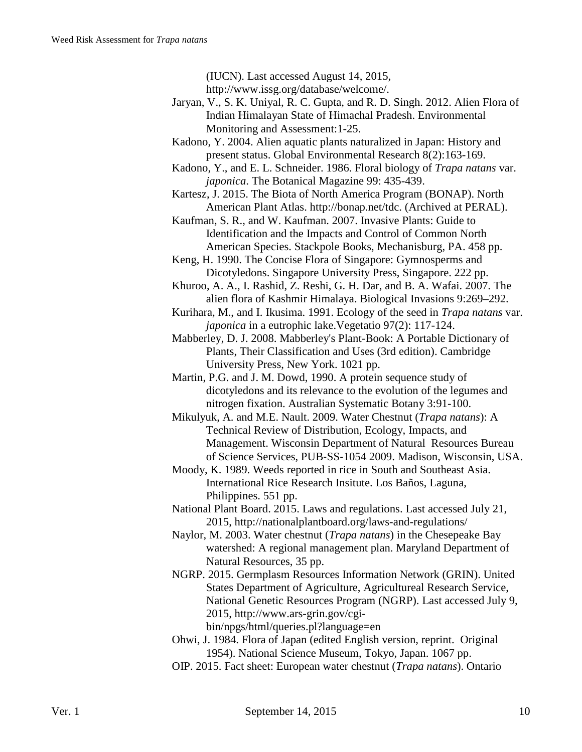http://www.issg.org/database/welcome/.

- Jaryan, V., S. K. Uniyal, R. C. Gupta, and R. D. Singh. 2012. Alien Flora of Indian Himalayan State of Himachal Pradesh. Environmental Monitoring and Assessment:1-25.
- Kadono, Y. 2004. Alien aquatic plants naturalized in Japan: History and present status. Global Environmental Research 8(2):163-169.
- Kadono, Y., and E. L. Schneider. 1986. Floral biology of *Trapa natans* var. *japonica*. The Botanical Magazine 99: 435-439.
- Kartesz, J. 2015. The Biota of North America Program (BONAP). North American Plant Atlas. http://bonap.net/tdc. (Archived at PERAL).
- Kaufman, S. R., and W. Kaufman. 2007. Invasive Plants: Guide to Identification and the Impacts and Control of Common North American Species. Stackpole Books, Mechanisburg, PA. 458 pp.
- Keng, H. 1990. The Concise Flora of Singapore: Gymnosperms and Dicotyledons. Singapore University Press, Singapore. 222 pp.

Khuroo, A. A., I. Rashid, Z. Reshi, G. H. Dar, and B. A. Wafai. 2007. The alien flora of Kashmir Himalaya. Biological Invasions 9:269–292.

- Kurihara, M., and I. Ikusima. 1991. Ecology of the seed in *Trapa natans* var. *japonica* in a eutrophic lake.Vegetatio 97(2): 117-124.
- Mabberley, D. J. 2008. Mabberley's Plant-Book: A Portable Dictionary of Plants, Their Classification and Uses (3rd edition). Cambridge University Press, New York. 1021 pp.
- Martin, P.G. and J. M. Dowd, 1990. A protein sequence study of dicotyledons and its relevance to the evolution of the legumes and nitrogen fixation. Australian Systematic Botany 3:91-100.
- Mikulyuk, A. and M.E. Nault. 2009. Water Chestnut (*Trapa natans*): A Technical Review of Distribution, Ecology, Impacts, and Management. Wisconsin Department of Natural Resources Bureau of Science Services, PUB‐SS‐1054 2009. Madison, Wisconsin, USA.
- Moody, K. 1989. Weeds reported in rice in South and Southeast Asia. International Rice Research Insitute. Los Baños, Laguna, Philippines. 551 pp.
- National Plant Board. 2015. Laws and regulations. Last accessed July 21, 2015, http://nationalplantboard.org/laws-and-regulations/
- Naylor, M. 2003. Water chestnut (*Trapa natans*) in the Chesepeake Bay watershed: A regional management plan. Maryland Department of Natural Resources, 35 pp.
- NGRP. 2015. Germplasm Resources Information Network (GRIN). United States Department of Agriculture, Agricultureal Research Service, National Genetic Resources Program (NGRP). Last accessed July 9, 2015, http://www.ars-grin.gov/cgibin/npgs/html/queries.pl?language=en

Ohwi, J. 1984. Flora of Japan (edited English version, reprint. Original 1954). National Science Museum, Tokyo, Japan. 1067 pp.

OIP. 2015. Fact sheet: European water chestnut (*Trapa natans*). Ontario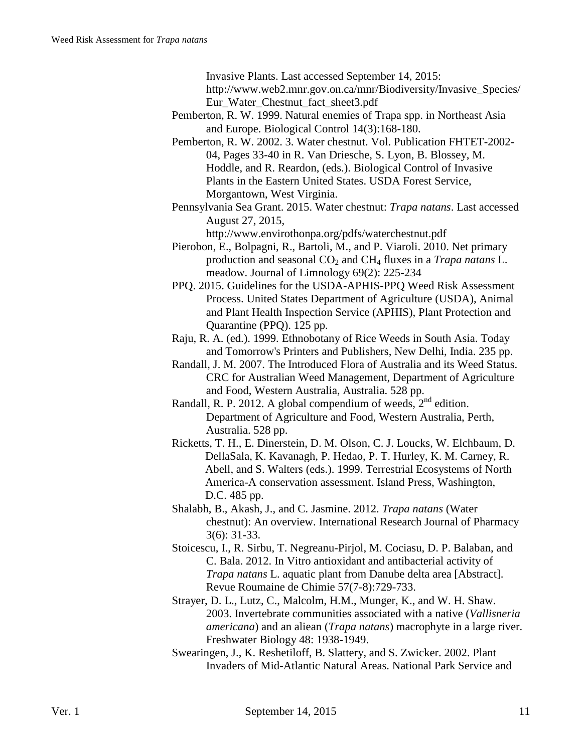Invasive Plants. Last accessed September 14, 2015:

http://www.web2.mnr.gov.on.ca/mnr/Biodiversity/Invasive\_Species/ Eur Water Chestnut fact sheet3.pdf

- Pemberton, R. W. 1999. Natural enemies of Trapa spp. in Northeast Asia and Europe. Biological Control 14(3):168-180.
- Pemberton, R. W. 2002. 3. Water chestnut. Vol. Publication FHTET-2002- 04, Pages 33-40 in R. Van Driesche, S. Lyon, B. Blossey, M. Hoddle, and R. Reardon, (eds.). Biological Control of Invasive Plants in the Eastern United States. USDA Forest Service, Morgantown, West Virginia.
- Pennsylvania Sea Grant. 2015. Water chestnut: *Trapa natans*. Last accessed August 27, 2015,

http://www.envirothonpa.org/pdfs/waterchestnut.pdf

- Pierobon, E., Bolpagni, R., Bartoli, M., and P. Viaroli. 2010. Net primary production and seasonal CO2 and CH4 fluxes in a *Trapa natans* L. meadow. Journal of Limnology 69(2): 225-234
- PPQ. 2015. Guidelines for the USDA-APHIS-PPQ Weed Risk Assessment Process. United States Department of Agriculture (USDA), Animal and Plant Health Inspection Service (APHIS), Plant Protection and Quarantine (PPQ). 125 pp.
- Raju, R. A. (ed.). 1999. Ethnobotany of Rice Weeds in South Asia. Today and Tomorrow's Printers and Publishers, New Delhi, India. 235 pp.
- Randall, J. M. 2007. The Introduced Flora of Australia and its Weed Status. CRC for Australian Weed Management, Department of Agriculture and Food, Western Australia, Australia. 528 pp.
- Randall, R. P. 2012. A global compendium of weeds,  $2<sup>nd</sup>$  edition. Department of Agriculture and Food, Western Australia, Perth, Australia. 528 pp.
- Ricketts, T. H., E. Dinerstein, D. M. Olson, C. J. Loucks, W. Elchbaum, D. DellaSala, K. Kavanagh, P. Hedao, P. T. Hurley, K. M. Carney, R. Abell, and S. Walters (eds.). 1999. Terrestrial Ecosystems of North America-A conservation assessment. Island Press, Washington, D.C. 485 pp.
- Shalabh, B., Akash, J., and C. Jasmine. 2012. *Trapa natans* (Water chestnut): An overview. International Research Journal of Pharmacy 3(6): 31-33.
- Stoicescu, I., R. Sirbu, T. Negreanu-Pirjol, M. Cociasu, D. P. Balaban, and C. Bala. 2012. In Vitro antioxidant and antibacterial activity of *Trapa natans* L. aquatic plant from Danube delta area [Abstract]. Revue Roumaine de Chimie 57(7-8):729-733.
- Strayer, D. L., Lutz, C., Malcolm, H.M., Munger, K., and W. H. Shaw. 2003. Invertebrate communities associated with a native (*Vallisneria americana*) and an aliean (*Trapa natans*) macrophyte in a large river. Freshwater Biology 48: 1938-1949.
- Swearingen, J., K. Reshetiloff, B. Slattery, and S. Zwicker. 2002. Plant Invaders of Mid-Atlantic Natural Areas. National Park Service and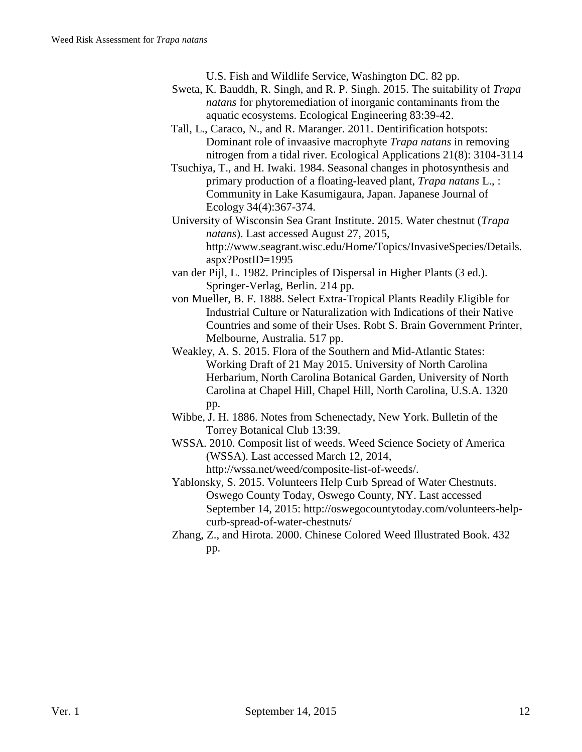U.S. Fish and Wildlife Service, Washington DC. 82 pp.

- Sweta, K. Bauddh, R. Singh, and R. P. Singh. 2015. The suitability of *Trapa natans* for phytoremediation of inorganic contaminants from the aquatic ecosystems. Ecological Engineering 83:39-42.
- Tall, L., Caraco, N., and R. Maranger. 2011. Dentirification hotspots: Dominant role of invaasive macrophyte *Trapa natans* in removing nitrogen from a tidal river. Ecological Applications 21(8): 3104-3114
- Tsuchiya, T., and H. Iwaki. 1984. Seasonal changes in photosynthesis and primary production of a floating-leaved plant, *Trapa natans* L., : Community in Lake Kasumigaura, Japan. Japanese Journal of Ecology 34(4):367-374.
- University of Wisconsin Sea Grant Institute. 2015. Water chestnut (*Trapa natans*). Last accessed August 27, 2015, http://www.seagrant.wisc.edu/Home/Topics/InvasiveSpecies/Details. aspx?PostID=1995
- van der Pijl, L. 1982. Principles of Dispersal in Higher Plants (3 ed.). Springer-Verlag, Berlin. 214 pp.
- von Mueller, B. F. 1888. Select Extra-Tropical Plants Readily Eligible for Industrial Culture or Naturalization with Indications of their Native Countries and some of their Uses. Robt S. Brain Government Printer, Melbourne, Australia. 517 pp.
- Weakley, A. S. 2015. Flora of the Southern and Mid-Atlantic States: Working Draft of 21 May 2015. University of North Carolina Herbarium, North Carolina Botanical Garden, University of North Carolina at Chapel Hill, Chapel Hill, North Carolina, U.S.A. 1320 pp.
- Wibbe, J. H. 1886. Notes from Schenectady, New York. Bulletin of the Torrey Botanical Club 13:39.
- WSSA. 2010. Composit list of weeds. Weed Science Society of America (WSSA). Last accessed March 12, 2014, http://wssa.net/weed/composite-list-of-weeds/.
- Yablonsky, S. 2015. Volunteers Help Curb Spread of Water Chestnuts. Oswego County Today, Oswego County, NY. Last accessed September 14, 2015: http://oswegocountytoday.com/volunteers-helpcurb-spread-of-water-chestnuts/
- Zhang, Z., and Hirota. 2000. Chinese Colored Weed Illustrated Book. 432 pp.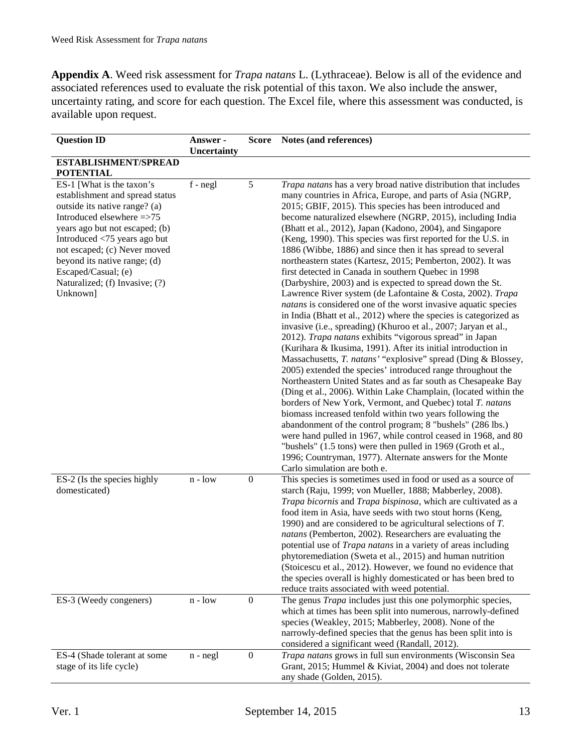**Appendix A**. Weed risk assessment for *Trapa natans* L. (Lythraceae). Below is all of the evidence and associated references used to evaluate the risk potential of this taxon. We also include the answer, uncertainty rating, and score for each question. The Excel file, where this assessment was conducted, is available upon request.

| <b>Question ID</b>                                                                                                                                                                                                                                                                                                                | Answer -<br><b>Uncertainty</b> | <b>Score</b>     | Notes (and references)                                                                                                                                                                                                                                                                                                                                                                                                                                                                                                                                                                                                                                                                                                                                                                                                                                                                                                                                                                                                                                                                                                                                                                                                                                                                                                                                                                                                                                                                                                                                                                                                                                                                                                              |
|-----------------------------------------------------------------------------------------------------------------------------------------------------------------------------------------------------------------------------------------------------------------------------------------------------------------------------------|--------------------------------|------------------|-------------------------------------------------------------------------------------------------------------------------------------------------------------------------------------------------------------------------------------------------------------------------------------------------------------------------------------------------------------------------------------------------------------------------------------------------------------------------------------------------------------------------------------------------------------------------------------------------------------------------------------------------------------------------------------------------------------------------------------------------------------------------------------------------------------------------------------------------------------------------------------------------------------------------------------------------------------------------------------------------------------------------------------------------------------------------------------------------------------------------------------------------------------------------------------------------------------------------------------------------------------------------------------------------------------------------------------------------------------------------------------------------------------------------------------------------------------------------------------------------------------------------------------------------------------------------------------------------------------------------------------------------------------------------------------------------------------------------------------|
| ESTABLISHMENT/SPREAD<br><b>POTENTIAL</b>                                                                                                                                                                                                                                                                                          |                                |                  |                                                                                                                                                                                                                                                                                                                                                                                                                                                                                                                                                                                                                                                                                                                                                                                                                                                                                                                                                                                                                                                                                                                                                                                                                                                                                                                                                                                                                                                                                                                                                                                                                                                                                                                                     |
| ES-1 [What is the taxon's<br>establishment and spread status<br>outside its native range? (a)<br>Introduced elsewhere =>75<br>years ago but not escaped; (b)<br>Introduced <75 years ago but<br>not escaped; (c) Never moved<br>beyond its native range; (d)<br>Escaped/Casual; (e)<br>Naturalized; (f) Invasive; (?)<br>Unknown] | $f - negl$                     | 5                | Trapa natans has a very broad native distribution that includes<br>many countries in Africa, Europe, and parts of Asia (NGRP,<br>2015; GBIF, 2015). This species has been introduced and<br>become naturalized elsewhere (NGRP, 2015), including India<br>(Bhatt et al., 2012), Japan (Kadono, 2004), and Singapore<br>(Keng, 1990). This species was first reported for the U.S. in<br>1886 (Wibbe, 1886) and since then it has spread to several<br>northeastern states (Kartesz, 2015; Pemberton, 2002). It was<br>first detected in Canada in southern Quebec in 1998<br>(Darbyshire, 2003) and is expected to spread down the St.<br>Lawrence River system (de Lafontaine & Costa, 2002). Trapa<br>natans is considered one of the worst invasive aquatic species<br>in India (Bhatt et al., 2012) where the species is categorized as<br>invasive (i.e., spreading) (Khuroo et al., 2007; Jaryan et al.,<br>2012). Trapa natans exhibits "vigorous spread" in Japan<br>(Kurihara & Ikusima, 1991). After its initial introduction in<br>Massachusetts, T. natans' "explosive" spread (Ding & Blossey,<br>2005) extended the species' introduced range throughout the<br>Northeastern United States and as far south as Chesapeake Bay<br>(Ding et al., 2006). Within Lake Champlain, (located within the<br>borders of New York, Vermont, and Quebec) total T. natans<br>biomass increased tenfold within two years following the<br>abandonment of the control program; 8 "bushels" (286 lbs.)<br>were hand pulled in 1967, while control ceased in 1968, and 80<br>"bushels" (1.5 tons) were then pulled in 1969 (Groth et al.,<br>1996; Countryman, 1977). Alternate answers for the Monte<br>Carlo simulation are both e. |
| ES-2 (Is the species highly<br>domesticated)                                                                                                                                                                                                                                                                                      | $n - low$                      | $\boldsymbol{0}$ | This species is sometimes used in food or used as a source of<br>starch (Raju, 1999; von Mueller, 1888; Mabberley, 2008).<br>Trapa bicornis and Trapa bispinosa, which are cultivated as a<br>food item in Asia, have seeds with two stout horns (Keng,<br>1990) and are considered to be agricultural selections of $T$ .<br>natans (Pemberton, 2002). Researchers are evaluating the<br>potential use of <i>Trapa natans</i> in a variety of areas including<br>phytoremediation (Sweta et al., 2015) and human nutrition<br>(Stoicescu et al., 2012). However, we found no evidence that<br>the species overall is highly domesticated or has been bred to<br>reduce traits associated with weed potential.                                                                                                                                                                                                                                                                                                                                                                                                                                                                                                                                                                                                                                                                                                                                                                                                                                                                                                                                                                                                                      |
| ES-3 (Weedy congeners)                                                                                                                                                                                                                                                                                                            | $n - low$                      | $\boldsymbol{0}$ | The genus <i>Trapa</i> includes just this one polymorphic species,<br>which at times has been split into numerous, narrowly-defined<br>species (Weakley, 2015; Mabberley, 2008). None of the<br>narrowly-defined species that the genus has been split into is<br>considered a significant weed (Randall, 2012).                                                                                                                                                                                                                                                                                                                                                                                                                                                                                                                                                                                                                                                                                                                                                                                                                                                                                                                                                                                                                                                                                                                                                                                                                                                                                                                                                                                                                    |
| ES-4 (Shade tolerant at some<br>stage of its life cycle)                                                                                                                                                                                                                                                                          | $n - negl$                     | $\boldsymbol{0}$ | Trapa natans grows in full sun environments (Wisconsin Sea<br>Grant, 2015; Hummel & Kiviat, 2004) and does not tolerate<br>any shade (Golden, 2015).                                                                                                                                                                                                                                                                                                                                                                                                                                                                                                                                                                                                                                                                                                                                                                                                                                                                                                                                                                                                                                                                                                                                                                                                                                                                                                                                                                                                                                                                                                                                                                                |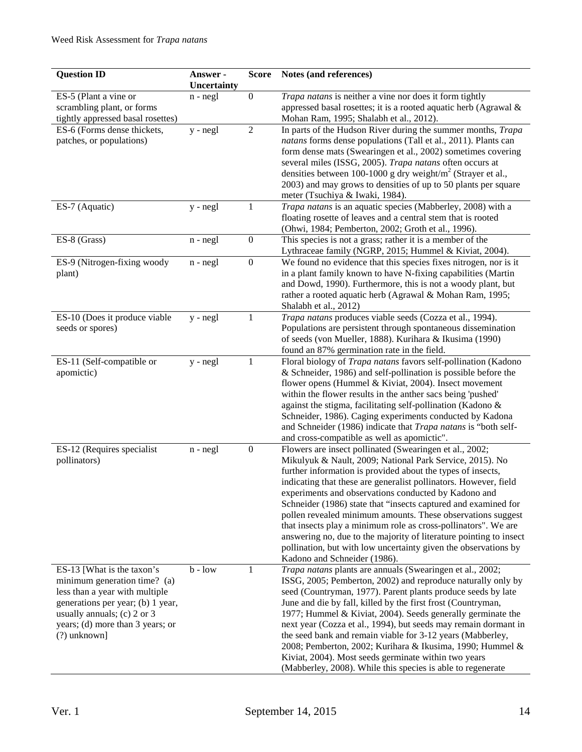| <b>Question ID</b>                               | Answer -<br>Uncertainty | <b>Score</b>     | Notes (and references)                                                                                                        |
|--------------------------------------------------|-------------------------|------------------|-------------------------------------------------------------------------------------------------------------------------------|
| ES-5 (Plant a vine or                            | $n - negl$              | $\boldsymbol{0}$ | Trapa natans is neither a vine nor does it form tightly                                                                       |
| scrambling plant, or forms                       |                         |                  | appressed basal rosettes; it is a rooted aquatic herb (Agrawal &                                                              |
| tightly appressed basal rosettes)                |                         |                  | Mohan Ram, 1995; Shalabh et al., 2012).                                                                                       |
| ES-6 (Forms dense thickets,                      | $y - negl$              | $\overline{2}$   | In parts of the Hudson River during the summer months, Trapa                                                                  |
| patches, or populations)                         |                         |                  | natans forms dense populations (Tall et al., 2011). Plants can                                                                |
|                                                  |                         |                  | form dense mats (Swearingen et al., 2002) sometimes covering                                                                  |
|                                                  |                         |                  | several miles (ISSG, 2005). Trapa natans often occurs at                                                                      |
|                                                  |                         |                  | densities between 100-1000 g dry weight/ $m2$ (Strayer et al.,                                                                |
|                                                  |                         |                  | 2003) and may grows to densities of up to 50 plants per square<br>meter (Tsuchiya & Iwaki, 1984).                             |
| ES-7 (Aquatic)                                   | $y - negl$              | 1                | Trapa natans is an aquatic species (Mabberley, 2008) with a                                                                   |
|                                                  |                         |                  | floating rosette of leaves and a central stem that is rooted                                                                  |
|                                                  |                         |                  | (Ohwi, 1984; Pemberton, 2002; Groth et al., 1996).                                                                            |
| ES-8 (Grass)                                     | $n - negl$              | $\boldsymbol{0}$ | This species is not a grass; rather it is a member of the                                                                     |
|                                                  |                         |                  | Lythraceae family (NGRP, 2015; Hummel & Kiviat, 2004).                                                                        |
| ES-9 (Nitrogen-fixing woody                      | $n - negl$              | $\boldsymbol{0}$ | We found no evidence that this species fixes nitrogen, nor is it                                                              |
| plant)                                           |                         |                  | in a plant family known to have N-fixing capabilities (Martin                                                                 |
|                                                  |                         |                  | and Dowd, 1990). Furthermore, this is not a woody plant, but                                                                  |
|                                                  |                         |                  | rather a rooted aquatic herb (Agrawal & Mohan Ram, 1995;                                                                      |
|                                                  |                         |                  | Shalabh et al., 2012)                                                                                                         |
| ES-10 (Does it produce viable                    | $y - negl$              | 1                | Trapa natans produces viable seeds (Cozza et al., 1994).                                                                      |
| seeds or spores)                                 |                         |                  | Populations are persistent through spontaneous dissemination<br>of seeds (von Mueller, 1888). Kurihara & Ikusima (1990)       |
|                                                  |                         |                  | found an 87% germination rate in the field.                                                                                   |
| ES-11 (Self-compatible or                        | y - negl                | 1                | Floral biology of Trapa natans favors self-pollination (Kadono                                                                |
| apomictic)                                       |                         |                  | & Schneider, 1986) and self-pollination is possible before the                                                                |
|                                                  |                         |                  | flower opens (Hummel & Kiviat, 2004). Insect movement                                                                         |
|                                                  |                         |                  | within the flower results in the anther sacs being 'pushed'                                                                   |
|                                                  |                         |                  | against the stigma, facilitating self-pollination (Kadono &                                                                   |
|                                                  |                         |                  | Schneider, 1986). Caging experiments conducted by Kadona                                                                      |
|                                                  |                         |                  | and Schneider (1986) indicate that Trapa natans is "both self-                                                                |
|                                                  |                         |                  | and cross-compatible as well as apomictic".                                                                                   |
| ES-12 (Requires specialist                       | $n - negl$              | $\boldsymbol{0}$ | Flowers are insect pollinated (Swearingen et al., 2002;                                                                       |
| pollinators)                                     |                         |                  | Mikulyuk & Nault, 2009; National Park Service, 2015). No<br>further information is provided about the types of insects,       |
|                                                  |                         |                  | indicating that these are generalist pollinators. However, field                                                              |
|                                                  |                         |                  | experiments and observations conducted by Kadono and                                                                          |
|                                                  |                         |                  | Schneider (1986) state that "insects captured and examined for                                                                |
|                                                  |                         |                  | pollen revealed minimum amounts. These observations suggest                                                                   |
|                                                  |                         |                  | that insects play a minimum role as cross-pollinators". We are                                                                |
|                                                  |                         |                  | answering no, due to the majority of literature pointing to insect                                                            |
|                                                  |                         |                  | pollination, but with low uncertainty given the observations by                                                               |
|                                                  |                         |                  | Kadono and Schneider (1986).                                                                                                  |
| ES-13 [What is the taxon's                       | $b - low$               | 1                | Trapa natans plants are annuals (Swearingen et al., 2002;                                                                     |
| minimum generation time? (a)                     |                         |                  | ISSG, 2005; Pemberton, 2002) and reproduce naturally only by                                                                  |
| less than a year with multiple                   |                         |                  | seed (Countryman, 1977). Parent plants produce seeds by late                                                                  |
| generations per year; (b) 1 year,                |                         |                  | June and die by fall, killed by the first frost (Countryman,                                                                  |
| usually annuals; (c) $2$ or $3$                  |                         |                  | 1977; Hummel & Kiviat, 2004). Seeds generally germinate the                                                                   |
| years; (d) more than 3 years; or<br>(?) unknown] |                         |                  | next year (Cozza et al., 1994), but seeds may remain dormant in<br>the seed bank and remain viable for 3-12 years (Mabberley, |
|                                                  |                         |                  | 2008; Pemberton, 2002; Kurihara & Ikusima, 1990; Hummel &                                                                     |
|                                                  |                         |                  | Kiviat, 2004). Most seeds germinate within two years                                                                          |
|                                                  |                         |                  | (Mabberley, 2008). While this species is able to regenerate                                                                   |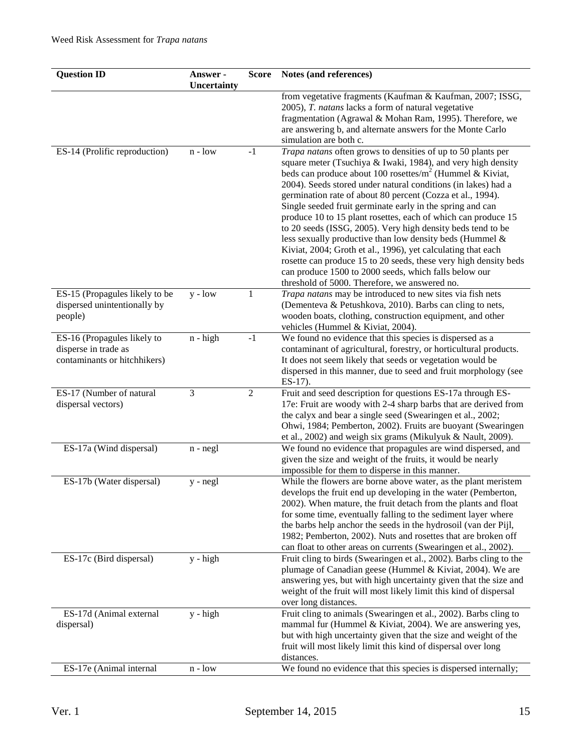| <b>Question ID</b>                                                                  | Answer -<br>Uncertainty | <b>Score</b>   | Notes (and references)                                                                                                                                                                                                                                                                                                                                                                                                                                                                                                                                                                                                                                                                                                                                                                                                             |
|-------------------------------------------------------------------------------------|-------------------------|----------------|------------------------------------------------------------------------------------------------------------------------------------------------------------------------------------------------------------------------------------------------------------------------------------------------------------------------------------------------------------------------------------------------------------------------------------------------------------------------------------------------------------------------------------------------------------------------------------------------------------------------------------------------------------------------------------------------------------------------------------------------------------------------------------------------------------------------------------|
|                                                                                     |                         |                | from vegetative fragments (Kaufman & Kaufman, 2007; ISSG,<br>2005), T. natans lacks a form of natural vegetative<br>fragmentation (Agrawal & Mohan Ram, 1995). Therefore, we<br>are answering b, and alternate answers for the Monte Carlo<br>simulation are both c.                                                                                                                                                                                                                                                                                                                                                                                                                                                                                                                                                               |
| ES-14 (Prolific reproduction)                                                       | $n - low$               | $-1$           | Trapa natans often grows to densities of up to 50 plants per<br>square meter (Tsuchiya & Iwaki, 1984), and very high density<br>beds can produce about 100 rosettes/ $m^2$ (Hummel & Kiviat,<br>2004). Seeds stored under natural conditions (in lakes) had a<br>germination rate of about 80 percent (Cozza et al., 1994).<br>Single seeded fruit germinate early in the spring and can<br>produce 10 to 15 plant rosettes, each of which can produce 15<br>to 20 seeds (ISSG, 2005). Very high density beds tend to be<br>less sexually productive than low density beds (Hummel &<br>Kiviat, 2004; Groth et al., 1996), yet calculating that each<br>rosette can produce 15 to 20 seeds, these very high density beds<br>can produce 1500 to 2000 seeds, which falls below our<br>threshold of 5000. Therefore, we answered no. |
| ES-15 (Propagules likely to be<br>dispersed unintentionally by<br>people)           | $y - low$               | 1              | Trapa natans may be introduced to new sites via fish nets<br>(Dementeva & Petushkova, 2010). Barbs can cling to nets,<br>wooden boats, clothing, construction equipment, and other<br>vehicles (Hummel & Kiviat, 2004).                                                                                                                                                                                                                                                                                                                                                                                                                                                                                                                                                                                                            |
| ES-16 (Propagules likely to<br>disperse in trade as<br>contaminants or hitchhikers) | $n - high$              | $-1$           | We found no evidence that this species is dispersed as a<br>contaminant of agricultural, forestry, or horticultural products.<br>It does not seem likely that seeds or vegetation would be<br>dispersed in this manner, due to seed and fruit morphology (see<br>$ES-17$ ).                                                                                                                                                                                                                                                                                                                                                                                                                                                                                                                                                        |
| ES-17 (Number of natural<br>dispersal vectors)                                      | 3                       | $\overline{2}$ | Fruit and seed description for questions ES-17a through ES-<br>17e: Fruit are woody with 2-4 sharp barbs that are derived from<br>the calyx and bear a single seed (Swearingen et al., 2002;<br>Ohwi, 1984; Pemberton, 2002). Fruits are buoyant (Swearingen<br>et al., 2002) and weigh six grams (Mikulyuk & Nault, 2009).                                                                                                                                                                                                                                                                                                                                                                                                                                                                                                        |
| ES-17a (Wind dispersal)                                                             | $n - negl$              |                | We found no evidence that propagules are wind dispersed, and<br>given the size and weight of the fruits, it would be nearly<br>impossible for them to disperse in this manner.                                                                                                                                                                                                                                                                                                                                                                                                                                                                                                                                                                                                                                                     |
| ES-17b (Water dispersal)                                                            | $y - negl$              |                | While the flowers are borne above water, as the plant meristem<br>develops the fruit end up developing in the water (Pemberton,<br>2002). When mature, the fruit detach from the plants and float<br>for some time, eventually falling to the sediment layer where<br>the barbs help anchor the seeds in the hydrosoil (van der Pijl,<br>1982; Pemberton, 2002). Nuts and rosettes that are broken off<br>can float to other areas on currents (Swearingen et al., 2002).                                                                                                                                                                                                                                                                                                                                                          |
| ES-17c (Bird dispersal)                                                             | $y - high$              |                | Fruit cling to birds (Swearingen et al., 2002). Barbs cling to the<br>plumage of Canadian geese (Hummel & Kiviat, 2004). We are<br>answering yes, but with high uncertainty given that the size and<br>weight of the fruit will most likely limit this kind of dispersal<br>over long distances.                                                                                                                                                                                                                                                                                                                                                                                                                                                                                                                                   |
| ES-17d (Animal external<br>dispersal)                                               | $y - high$              |                | Fruit cling to animals (Swearingen et al., 2002). Barbs cling to<br>mammal fur (Hummel & Kiviat, 2004). We are answering yes,<br>but with high uncertainty given that the size and weight of the<br>fruit will most likely limit this kind of dispersal over long<br>distances.                                                                                                                                                                                                                                                                                                                                                                                                                                                                                                                                                    |
| ES-17e (Animal internal                                                             | $n - low$               |                | We found no evidence that this species is dispersed internally;                                                                                                                                                                                                                                                                                                                                                                                                                                                                                                                                                                                                                                                                                                                                                                    |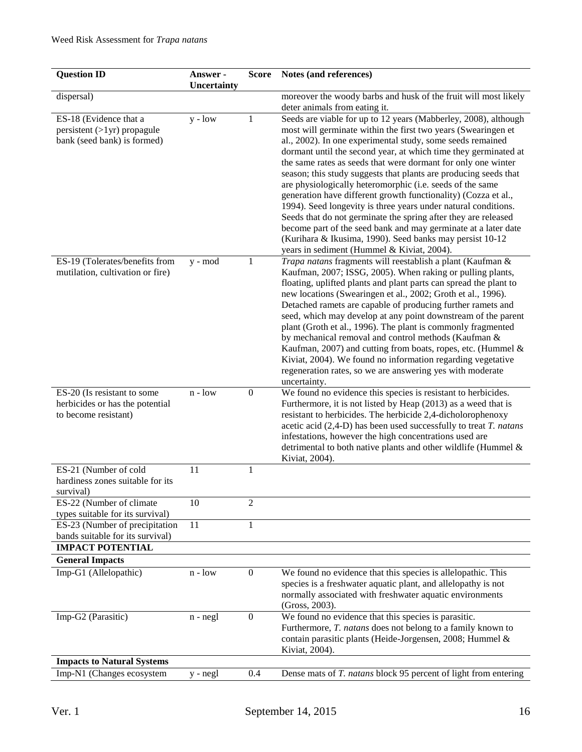| <b>Question ID</b>                                                                     | Answer -<br>Uncertainty | Score            | Notes (and references)                                                                                                                                                                                                                                                                                                                                                                                                                                                                                                                                                                                                                                                                                                                                                                                                                                |
|----------------------------------------------------------------------------------------|-------------------------|------------------|-------------------------------------------------------------------------------------------------------------------------------------------------------------------------------------------------------------------------------------------------------------------------------------------------------------------------------------------------------------------------------------------------------------------------------------------------------------------------------------------------------------------------------------------------------------------------------------------------------------------------------------------------------------------------------------------------------------------------------------------------------------------------------------------------------------------------------------------------------|
| dispersal)                                                                             |                         |                  | moreover the woody barbs and husk of the fruit will most likely                                                                                                                                                                                                                                                                                                                                                                                                                                                                                                                                                                                                                                                                                                                                                                                       |
|                                                                                        |                         |                  | deter animals from eating it.                                                                                                                                                                                                                                                                                                                                                                                                                                                                                                                                                                                                                                                                                                                                                                                                                         |
| ES-18 (Evidence that a<br>$persistent (>1yr)$ propagule<br>bank (seed bank) is formed) | $y - low$               | $\mathbf 1$      | Seeds are viable for up to 12 years (Mabberley, 2008), although<br>most will germinate within the first two years (Swearingen et<br>al., 2002). In one experimental study, some seeds remained<br>dormant until the second year, at which time they germinated at<br>the same rates as seeds that were dormant for only one winter<br>season; this study suggests that plants are producing seeds that<br>are physiologically heteromorphic (i.e. seeds of the same<br>generation have different growth functionality) (Cozza et al.,<br>1994). Seed longevity is three years under natural conditions.<br>Seeds that do not germinate the spring after they are released<br>become part of the seed bank and may germinate at a later date<br>(Kurihara & Ikusima, 1990). Seed banks may persist 10-12<br>years in sediment (Hummel & Kiviat, 2004). |
| ES-19 (Tolerates/benefits from<br>mutilation, cultivation or fire)                     | y - mod                 | $\mathbf{1}$     | Trapa natans fragments will reestablish a plant (Kaufman &<br>Kaufman, 2007; ISSG, 2005). When raking or pulling plants,<br>floating, uplifted plants and plant parts can spread the plant to<br>new locations (Swearingen et al., 2002; Groth et al., 1996).<br>Detached ramets are capable of producing further ramets and<br>seed, which may develop at any point downstream of the parent<br>plant (Groth et al., 1996). The plant is commonly fragmented<br>by mechanical removal and control methods (Kaufman &<br>Kaufman, 2007) and cutting from boats, ropes, etc. (Hummel &<br>Kiviat, 2004). We found no information regarding vegetative<br>regeneration rates, so we are answering yes with moderate<br>uncertainty.                                                                                                                     |
| ES-20 (Is resistant to some<br>herbicides or has the potential<br>to become resistant) | $n - low$               | $\boldsymbol{0}$ | We found no evidence this species is resistant to herbicides.<br>Furthermore, it is not listed by Heap (2013) as a weed that is<br>resistant to herbicides. The herbicide 2,4-dicholorophenoxy<br>acetic acid $(2,4-D)$ has been used successfully to treat T. natans<br>infestations, however the high concentrations used are<br>detrimental to both native plants and other wildlife (Hummel &<br>Kiviat, 2004).                                                                                                                                                                                                                                                                                                                                                                                                                                   |
| ES-21 (Number of cold<br>hardiness zones suitable for its                              | 11                      | 1                |                                                                                                                                                                                                                                                                                                                                                                                                                                                                                                                                                                                                                                                                                                                                                                                                                                                       |
| survival)                                                                              |                         |                  |                                                                                                                                                                                                                                                                                                                                                                                                                                                                                                                                                                                                                                                                                                                                                                                                                                                       |
| ES-22 (Number of climate                                                               | 10                      | $\overline{c}$   |                                                                                                                                                                                                                                                                                                                                                                                                                                                                                                                                                                                                                                                                                                                                                                                                                                                       |
| types suitable for its survival)<br>ES-23 (Number of precipitation                     | 11                      | $\mathbf{1}$     |                                                                                                                                                                                                                                                                                                                                                                                                                                                                                                                                                                                                                                                                                                                                                                                                                                                       |
| bands suitable for its survival)                                                       |                         |                  |                                                                                                                                                                                                                                                                                                                                                                                                                                                                                                                                                                                                                                                                                                                                                                                                                                                       |
| <b>IMPACT POTENTIAL</b>                                                                |                         |                  |                                                                                                                                                                                                                                                                                                                                                                                                                                                                                                                                                                                                                                                                                                                                                                                                                                                       |
| <b>General Impacts</b>                                                                 |                         |                  |                                                                                                                                                                                                                                                                                                                                                                                                                                                                                                                                                                                                                                                                                                                                                                                                                                                       |
| Imp-G1 (Allelopathic)                                                                  | $n - low$               | $\boldsymbol{0}$ | We found no evidence that this species is allelopathic. This                                                                                                                                                                                                                                                                                                                                                                                                                                                                                                                                                                                                                                                                                                                                                                                          |
|                                                                                        |                         |                  | species is a freshwater aquatic plant, and allelopathy is not<br>normally associated with freshwater aquatic environments<br>(Gross, 2003).                                                                                                                                                                                                                                                                                                                                                                                                                                                                                                                                                                                                                                                                                                           |
| Imp-G2 (Parasitic)                                                                     | $n - negl$              | $\boldsymbol{0}$ | We found no evidence that this species is parasitic.<br>Furthermore, T. natans does not belong to a family known to<br>contain parasitic plants (Heide-Jorgensen, 2008; Hummel &<br>Kiviat, 2004).                                                                                                                                                                                                                                                                                                                                                                                                                                                                                                                                                                                                                                                    |
| <b>Impacts to Natural Systems</b>                                                      |                         |                  |                                                                                                                                                                                                                                                                                                                                                                                                                                                                                                                                                                                                                                                                                                                                                                                                                                                       |
| Imp-N1 (Changes ecosystem                                                              | y - negl                | 0.4              | Dense mats of T. natans block 95 percent of light from entering                                                                                                                                                                                                                                                                                                                                                                                                                                                                                                                                                                                                                                                                                                                                                                                       |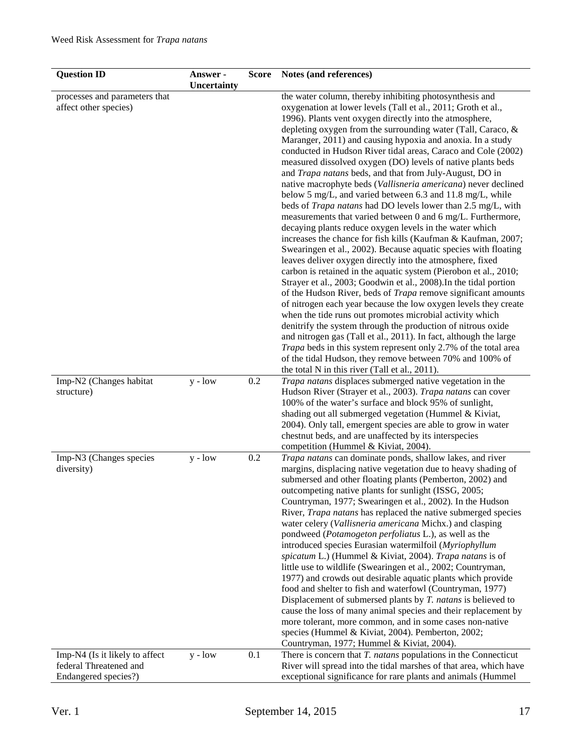| <b>Question ID</b>             | Answer -<br>Uncertainty | <b>Score</b> | Notes (and references)                                                                                                      |
|--------------------------------|-------------------------|--------------|-----------------------------------------------------------------------------------------------------------------------------|
| processes and parameters that  |                         |              | the water column, thereby inhibiting photosynthesis and                                                                     |
| affect other species)          |                         |              | oxygenation at lower levels (Tall et al., 2011; Groth et al.,                                                               |
|                                |                         |              | 1996). Plants vent oxygen directly into the atmosphere,                                                                     |
|                                |                         |              | depleting oxygen from the surrounding water (Tall, Caraco, &                                                                |
|                                |                         |              | Maranger, 2011) and causing hypoxia and anoxia. In a study                                                                  |
|                                |                         |              | conducted in Hudson River tidal areas, Caraco and Cole (2002)                                                               |
|                                |                         |              | measured dissolved oxygen (DO) levels of native plants beds                                                                 |
|                                |                         |              | and Trapa natans beds, and that from July-August, DO in                                                                     |
|                                |                         |              | native macrophyte beds (Vallisneria americana) never declined                                                               |
|                                |                         |              | below 5 mg/L, and varied between 6.3 and 11.8 mg/L, while                                                                   |
|                                |                         |              | beds of <i>Trapa natans</i> had DO levels lower than 2.5 mg/L, with                                                         |
|                                |                         |              | measurements that varied between 0 and 6 mg/L. Furthermore,                                                                 |
|                                |                         |              | decaying plants reduce oxygen levels in the water which                                                                     |
|                                |                         |              | increases the chance for fish kills (Kaufman & Kaufman, 2007;                                                               |
|                                |                         |              | Swearingen et al., 2002). Because aquatic species with floating                                                             |
|                                |                         |              | leaves deliver oxygen directly into the atmosphere, fixed                                                                   |
|                                |                         |              | carbon is retained in the aquatic system (Pierobon et al., 2010;                                                            |
|                                |                         |              | Strayer et al., 2003; Goodwin et al., 2008). In the tidal portion                                                           |
|                                |                         |              | of the Hudson River, beds of <i>Trapa</i> remove significant amounts                                                        |
|                                |                         |              | of nitrogen each year because the low oxygen levels they create                                                             |
|                                |                         |              | when the tide runs out promotes microbial activity which                                                                    |
|                                |                         |              | denitrify the system through the production of nitrous oxide                                                                |
|                                |                         |              | and nitrogen gas (Tall et al., 2011). In fact, although the large                                                           |
|                                |                         |              | Trapa beds in this system represent only 2.7% of the total area<br>of the tidal Hudson, they remove between 70% and 100% of |
|                                |                         |              | the total N in this river (Tall et al., 2011).                                                                              |
| Imp-N2 (Changes habitat        | $y - low$               | 0.2          | Trapa natans displaces submerged native vegetation in the                                                                   |
| structure)                     |                         |              | Hudson River (Strayer et al., 2003). Trapa natans can cover                                                                 |
|                                |                         |              | 100% of the water's surface and block 95% of sunlight,                                                                      |
|                                |                         |              | shading out all submerged vegetation (Hummel & Kiviat,                                                                      |
|                                |                         |              | 2004). Only tall, emergent species are able to grow in water                                                                |
|                                |                         |              | chestnut beds, and are unaffected by its interspecies                                                                       |
|                                |                         |              | competition (Hummel & Kiviat, 2004).                                                                                        |
| Imp-N3 (Changes species        | $y - low$               | 0.2          | Trapa natans can dominate ponds, shallow lakes, and river                                                                   |
| diversity)                     |                         |              | margins, displacing native vegetation due to heavy shading of                                                               |
|                                |                         |              | submersed and other floating plants (Pemberton, 2002) and                                                                   |
|                                |                         |              | outcompeting native plants for sunlight (ISSG, 2005;                                                                        |
|                                |                         |              | Countryman, 1977; Swearingen et al., 2002). In the Hudson                                                                   |
|                                |                         |              | River, <i>Trapa natans</i> has replaced the native submerged species                                                        |
|                                |                         |              | water celery (Vallisneria americana Michx.) and clasping                                                                    |
|                                |                         |              | pondweed (Potamogeton perfoliatus L.), as well as the                                                                       |
|                                |                         |              | introduced species Eurasian watermilfoil (Myriophyllum<br>spicatum L.) (Hummel & Kiviat, 2004). Trapa natans is of          |
|                                |                         |              | little use to wildlife (Swearingen et al., 2002; Countryman,                                                                |
|                                |                         |              | 1977) and crowds out desirable aquatic plants which provide                                                                 |
|                                |                         |              | food and shelter to fish and waterfowl (Countryman, 1977)                                                                   |
|                                |                         |              | Displacement of submersed plants by T. natans is believed to                                                                |
|                                |                         |              | cause the loss of many animal species and their replacement by                                                              |
|                                |                         |              | more tolerant, more common, and in some cases non-native                                                                    |
|                                |                         |              | species (Hummel & Kiviat, 2004). Pemberton, 2002;                                                                           |
|                                |                         |              | Countryman, 1977; Hummel & Kiviat, 2004).                                                                                   |
| Imp-N4 (Is it likely to affect | $y - low$               | 0.1          | There is concern that T. natans populations in the Connecticut                                                              |
| federal Threatened and         |                         |              | River will spread into the tidal marshes of that area, which have                                                           |
| Endangered species?)           |                         |              | exceptional significance for rare plants and animals (Hummel                                                                |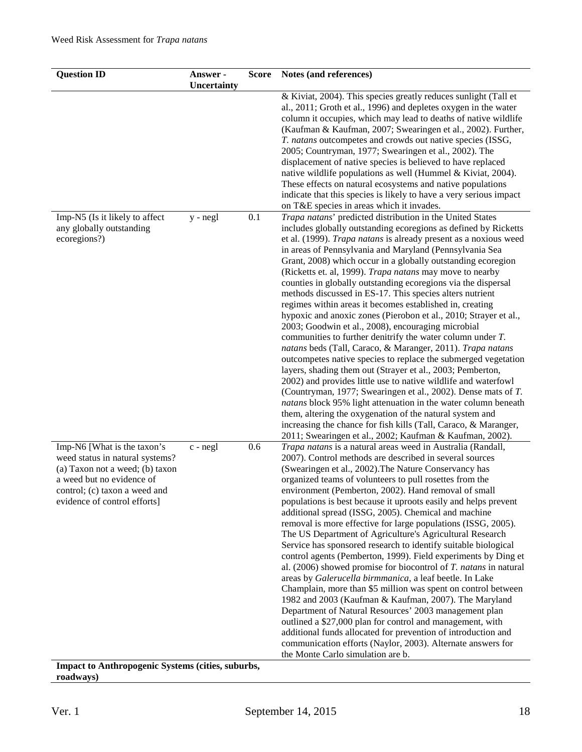| <b>Question ID</b>                                                                                                                                                                              | Answer -<br>Uncertainty | <b>Score</b> | Notes (and references)                                                                                                                                                                                                                                                                                                                                                                                                                                                                                                                                                                                                                                                                                                                                                                                                                                                                                                                                                                                                                                                                                                                                                                                                                                                                                                                                                    |
|-------------------------------------------------------------------------------------------------------------------------------------------------------------------------------------------------|-------------------------|--------------|---------------------------------------------------------------------------------------------------------------------------------------------------------------------------------------------------------------------------------------------------------------------------------------------------------------------------------------------------------------------------------------------------------------------------------------------------------------------------------------------------------------------------------------------------------------------------------------------------------------------------------------------------------------------------------------------------------------------------------------------------------------------------------------------------------------------------------------------------------------------------------------------------------------------------------------------------------------------------------------------------------------------------------------------------------------------------------------------------------------------------------------------------------------------------------------------------------------------------------------------------------------------------------------------------------------------------------------------------------------------------|
|                                                                                                                                                                                                 |                         |              | & Kiviat, 2004). This species greatly reduces sunlight (Tall et<br>al., 2011; Groth et al., 1996) and depletes oxygen in the water<br>column it occupies, which may lead to deaths of native wildlife<br>(Kaufman & Kaufman, 2007; Swearingen et al., 2002). Further,<br>T. natans outcompetes and crowds out native species (ISSG,<br>2005; Countryman, 1977; Swearingen et al., 2002). The<br>displacement of native species is believed to have replaced<br>native wildlife populations as well (Hummel & Kiviat, 2004).<br>These effects on natural ecosystems and native populations<br>indicate that this species is likely to have a very serious impact<br>on T&E species in areas which it invades.                                                                                                                                                                                                                                                                                                                                                                                                                                                                                                                                                                                                                                                              |
| Imp-N5 (Is it likely to affect<br>any globally outstanding<br>ecoregions?)                                                                                                                      | y - negl                | 0.1          | Trapa natans' predicted distribution in the United States<br>includes globally outstanding ecoregions as defined by Ricketts<br>et al. (1999). Trapa natans is already present as a noxious weed<br>in areas of Pennsylvania and Maryland (Pennsylvania Sea<br>Grant, 2008) which occur in a globally outstanding ecoregion<br>(Ricketts et. al, 1999). Trapa natans may move to nearby<br>counties in globally outstanding ecoregions via the dispersal<br>methods discussed in ES-17. This species alters nutrient<br>regimes within areas it becomes established in, creating<br>hypoxic and anoxic zones (Pierobon et al., 2010; Strayer et al.,<br>2003; Goodwin et al., 2008), encouraging microbial<br>communities to further denitrify the water column under $T$ .<br>natans beds (Tall, Caraco, & Maranger, 2011). Trapa natans<br>outcompetes native species to replace the submerged vegetation<br>layers, shading them out (Strayer et al., 2003; Pemberton,<br>2002) and provides little use to native wildlife and waterfowl<br>(Countryman, 1977; Swearingen et al., 2002). Dense mats of T.<br>natans block 95% light attenuation in the water column beneath<br>them, altering the oxygenation of the natural system and<br>increasing the chance for fish kills (Tall, Caraco, & Maranger,<br>2011; Swearingen et al., 2002; Kaufman & Kaufman, 2002). |
| Imp-N6 [What is the taxon's<br>weed status in natural systems?<br>(a) Taxon not a weed; (b) taxon<br>a weed but no evidence of<br>control; (c) taxon a weed and<br>evidence of control efforts] | $c$ - $negl$            | 0.6          | Trapa natans is a natural areas weed in Australia (Randall,<br>2007). Control methods are described in several sources<br>(Swearingen et al., 2002). The Nature Conservancy has<br>organized teams of volunteers to pull rosettes from the<br>environment (Pemberton, 2002). Hand removal of small<br>populations is best because it uproots easily and helps prevent<br>additional spread (ISSG, 2005). Chemical and machine<br>removal is more effective for large populations (ISSG, 2005).<br>The US Department of Agriculture's Agricultural Research<br>Service has sponsored research to identify suitable biological<br>control agents (Pemberton, 1999). Field experiments by Ding et<br>al. $(2006)$ showed promise for biocontrol of $T$ . natans in natural<br>areas by Galerucella birmmanica, a leaf beetle. In Lake<br>Champlain, more than \$5 million was spent on control between<br>1982 and 2003 (Kaufman & Kaufman, 2007). The Maryland<br>Department of Natural Resources' 2003 management plan<br>outlined a \$27,000 plan for control and management, with<br>additional funds allocated for prevention of introduction and<br>communication efforts (Naylor, 2003). Alternate answers for<br>the Monte Carlo simulation are b.                                                                                                                   |

**Impact to Anthropogenic Systems (cities, suburbs, roadways)**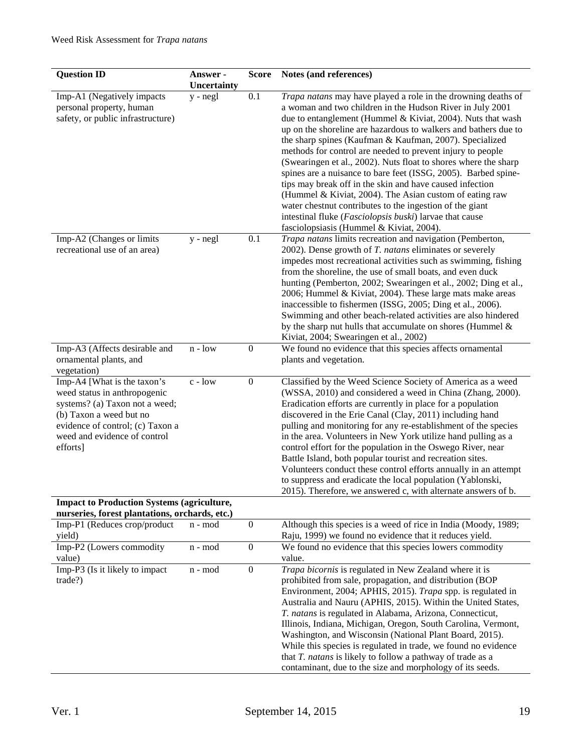| <b>Question ID</b>                                                                                                                                                                                       | Answer -<br>Uncertainty | <b>Score</b>     | Notes (and references)                                                                                                                                                                                                                                                                                                                                                                                                                                                                                                                                                                                                                                                                                                                                                                                               |
|----------------------------------------------------------------------------------------------------------------------------------------------------------------------------------------------------------|-------------------------|------------------|----------------------------------------------------------------------------------------------------------------------------------------------------------------------------------------------------------------------------------------------------------------------------------------------------------------------------------------------------------------------------------------------------------------------------------------------------------------------------------------------------------------------------------------------------------------------------------------------------------------------------------------------------------------------------------------------------------------------------------------------------------------------------------------------------------------------|
| Imp-A1 (Negatively impacts<br>personal property, human<br>safety, or public infrastructure)                                                                                                              | $y - negl$              | 0.1              | Trapa natans may have played a role in the drowning deaths of<br>a woman and two children in the Hudson River in July 2001<br>due to entanglement (Hummel & Kiviat, 2004). Nuts that wash<br>up on the shoreline are hazardous to walkers and bathers due to<br>the sharp spines (Kaufman & Kaufman, 2007). Specialized<br>methods for control are needed to prevent injury to people<br>(Swearingen et al., 2002). Nuts float to shores where the sharp<br>spines are a nuisance to bare feet (ISSG, 2005). Barbed spine-<br>tips may break off in the skin and have caused infection<br>(Hummel & Kiviat, 2004). The Asian custom of eating raw<br>water chestnut contributes to the ingestion of the giant<br>intestinal fluke (Fasciolopsis buski) larvae that cause<br>fasciolopsiasis (Hummel & Kiviat, 2004). |
| Imp-A2 (Changes or limits<br>recreational use of an area)                                                                                                                                                | y - negl                | 0.1              | Trapa natans limits recreation and navigation (Pemberton,<br>2002). Dense growth of T. natans eliminates or severely<br>impedes most recreational activities such as swimming, fishing<br>from the shoreline, the use of small boats, and even duck<br>hunting (Pemberton, 2002; Swearingen et al., 2002; Ding et al.,<br>2006; Hummel & Kiviat, 2004). These large mats make areas<br>inaccessible to fishermen (ISSG, 2005; Ding et al., 2006).<br>Swimming and other beach-related activities are also hindered<br>by the sharp nut hulls that accumulate on shores (Hummel $\&$<br>Kiviat, 2004; Swearingen et al., 2002)                                                                                                                                                                                        |
| Imp-A3 (Affects desirable and<br>ornamental plants, and<br>vegetation)                                                                                                                                   | $n - low$               | $\boldsymbol{0}$ | We found no evidence that this species affects ornamental<br>plants and vegetation.                                                                                                                                                                                                                                                                                                                                                                                                                                                                                                                                                                                                                                                                                                                                  |
| Imp-A4 [What is the taxon's<br>weed status in anthropogenic<br>systems? (a) Taxon not a weed;<br>(b) Taxon a weed but no<br>evidence of control; (c) Taxon a<br>weed and evidence of control<br>efforts] | c - low                 | $\boldsymbol{0}$ | Classified by the Weed Science Society of America as a weed<br>(WSSA, 2010) and considered a weed in China (Zhang, 2000).<br>Eradication efforts are currently in place for a population<br>discovered in the Erie Canal (Clay, 2011) including hand<br>pulling and monitoring for any re-establishment of the species<br>in the area. Volunteers in New York utilize hand pulling as a<br>control effort for the population in the Oswego River, near<br>Battle Island, both popular tourist and recreation sites.<br>Volunteers conduct these control efforts annually in an attempt<br>to suppress and eradicate the local population (Yablonski,<br>2015). Therefore, we answered c, with alternate answers of b.                                                                                                |
| <b>Impact to Production Systems (agriculture,</b><br>nurseries, forest plantations, orchards, etc.)                                                                                                      |                         |                  |                                                                                                                                                                                                                                                                                                                                                                                                                                                                                                                                                                                                                                                                                                                                                                                                                      |
| Imp-P1 (Reduces crop/product<br>yield)                                                                                                                                                                   | n - mod                 | $\boldsymbol{0}$ | Although this species is a weed of rice in India (Moody, 1989;<br>Raju, 1999) we found no evidence that it reduces yield.                                                                                                                                                                                                                                                                                                                                                                                                                                                                                                                                                                                                                                                                                            |
| Imp-P2 (Lowers commodity<br>value)                                                                                                                                                                       | n - mod                 | $\boldsymbol{0}$ | We found no evidence that this species lowers commodity<br>value.                                                                                                                                                                                                                                                                                                                                                                                                                                                                                                                                                                                                                                                                                                                                                    |
| Imp-P3 (Is it likely to impact<br>trade?)                                                                                                                                                                | n - mod                 | $\boldsymbol{0}$ | Trapa bicornis is regulated in New Zealand where it is<br>prohibited from sale, propagation, and distribution (BOP<br>Environment, 2004; APHIS, 2015). Trapa spp. is regulated in<br>Australia and Nauru (APHIS, 2015). Within the United States,<br>T. natans is regulated in Alabama, Arizona, Connecticut,<br>Illinois, Indiana, Michigan, Oregon, South Carolina, Vermont,<br>Washington, and Wisconsin (National Plant Board, 2015).<br>While this species is regulated in trade, we found no evidence<br>that $T$ . <i>natans</i> is likely to follow a pathway of trade as a<br>contaminant, due to the size and morphology of its seeds.                                                                                                                                                                     |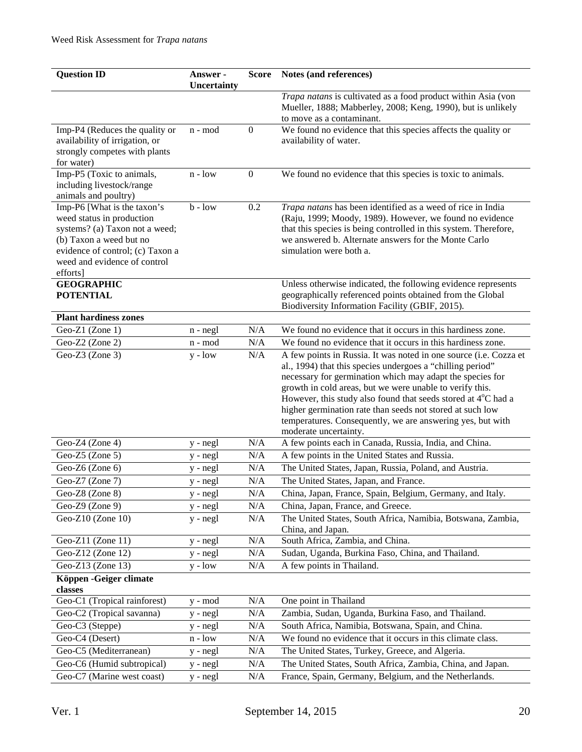| <b>Question ID</b>                                                                                                                                                                                    | Answer -<br>Uncertainty | <b>Score</b>     | Notes (and references)                                                                                                                                                                                                                                                                                                                                                                                                                                                                  |
|-------------------------------------------------------------------------------------------------------------------------------------------------------------------------------------------------------|-------------------------|------------------|-----------------------------------------------------------------------------------------------------------------------------------------------------------------------------------------------------------------------------------------------------------------------------------------------------------------------------------------------------------------------------------------------------------------------------------------------------------------------------------------|
|                                                                                                                                                                                                       |                         |                  | Trapa natans is cultivated as a food product within Asia (von<br>Mueller, 1888; Mabberley, 2008; Keng, 1990), but is unlikely<br>to move as a contaminant.                                                                                                                                                                                                                                                                                                                              |
| Imp-P4 (Reduces the quality or<br>availability of irrigation, or<br>strongly competes with plants<br>for water)                                                                                       | n - mod                 | $\boldsymbol{0}$ | We found no evidence that this species affects the quality or<br>availability of water.                                                                                                                                                                                                                                                                                                                                                                                                 |
| Imp-P5 (Toxic to animals,<br>including livestock/range<br>animals and poultry)                                                                                                                        | $n - low$               | $\boldsymbol{0}$ | We found no evidence that this species is toxic to animals.                                                                                                                                                                                                                                                                                                                                                                                                                             |
| Imp-P6 [What is the taxon's<br>weed status in production<br>systems? (a) Taxon not a weed;<br>(b) Taxon a weed but no<br>evidence of control; (c) Taxon a<br>weed and evidence of control<br>efforts] | $b - low$               | 0.2              | Trapa natans has been identified as a weed of rice in India<br>(Raju, 1999; Moody, 1989). However, we found no evidence<br>that this species is being controlled in this system. Therefore,<br>we answered b. Alternate answers for the Monte Carlo<br>simulation were both a.                                                                                                                                                                                                          |
| <b>GEOGRAPHIC</b><br><b>POTENTIAL</b>                                                                                                                                                                 |                         |                  | Unless otherwise indicated, the following evidence represents<br>geographically referenced points obtained from the Global<br>Biodiversity Information Facility (GBIF, 2015).                                                                                                                                                                                                                                                                                                           |
| <b>Plant hardiness zones</b>                                                                                                                                                                          |                         |                  |                                                                                                                                                                                                                                                                                                                                                                                                                                                                                         |
| Geo-Z1 (Zone 1)                                                                                                                                                                                       | n - negl                | N/A              | We found no evidence that it occurs in this hardiness zone.                                                                                                                                                                                                                                                                                                                                                                                                                             |
| Geo-Z2 (Zone 2)                                                                                                                                                                                       | n - mod                 | N/A              | We found no evidence that it occurs in this hardiness zone.                                                                                                                                                                                                                                                                                                                                                                                                                             |
| Geo-Z $3$ (Zone 3)                                                                                                                                                                                    | $y - low$               | N/A              | A few points in Russia. It was noted in one source (i.e. Cozza et<br>al., 1994) that this species undergoes a "chilling period"<br>necessary for germination which may adapt the species for<br>growth in cold areas, but we were unable to verify this.<br>However, this study also found that seeds stored at $4^{\circ}$ C had a<br>higher germination rate than seeds not stored at such low<br>temperatures. Consequently, we are answering yes, but with<br>moderate uncertainty. |
| Geo-Z4 (Zone 4)                                                                                                                                                                                       | y - negl                | N/A              | A few points each in Canada, Russia, India, and China.                                                                                                                                                                                                                                                                                                                                                                                                                                  |
| Geo-Z5 $(Zone 5)$                                                                                                                                                                                     | y - negl                | N/A              | A few points in the United States and Russia.                                                                                                                                                                                                                                                                                                                                                                                                                                           |
| Geo-Z6 (Zone 6)                                                                                                                                                                                       | y - negl                | N/A              | The United States, Japan, Russia, Poland, and Austria.                                                                                                                                                                                                                                                                                                                                                                                                                                  |
| Geo-Z7 (Zone 7)                                                                                                                                                                                       | y - negl                | N/A              | The United States, Japan, and France.                                                                                                                                                                                                                                                                                                                                                                                                                                                   |
| Geo-Z8 (Zone 8)                                                                                                                                                                                       | y - negl                | N/A              | China, Japan, France, Spain, Belgium, Germany, and Italy.                                                                                                                                                                                                                                                                                                                                                                                                                               |
| Geo-Z $9$ (Zone $9$ )                                                                                                                                                                                 | y - negl                | N/A              | China, Japan, France, and Greece.                                                                                                                                                                                                                                                                                                                                                                                                                                                       |
| Geo-Z $10$ (Zone $10$ )                                                                                                                                                                               | $y - negl$              | N/A              | The United States, South Africa, Namibia, Botswana, Zambia,<br>China, and Japan.                                                                                                                                                                                                                                                                                                                                                                                                        |
| Geo-Z11 (Zone 11)                                                                                                                                                                                     | y - negl                | N/A              | South Africa, Zambia, and China.                                                                                                                                                                                                                                                                                                                                                                                                                                                        |
| Geo-Z12 (Zone 12)                                                                                                                                                                                     | y - negl                | N/A              | Sudan, Uganda, Burkina Faso, China, and Thailand.                                                                                                                                                                                                                                                                                                                                                                                                                                       |
| Geo-Z13 (Zone 13)                                                                                                                                                                                     | $y - low$               | N/A              | A few points in Thailand.                                                                                                                                                                                                                                                                                                                                                                                                                                                               |
| Köppen - Geiger climate                                                                                                                                                                               |                         |                  |                                                                                                                                                                                                                                                                                                                                                                                                                                                                                         |
| classes                                                                                                                                                                                               |                         |                  |                                                                                                                                                                                                                                                                                                                                                                                                                                                                                         |
| Geo-C1 (Tropical rainforest)                                                                                                                                                                          | y - mod                 | N/A<br>N/A       | One point in Thailand<br>Zambia, Sudan, Uganda, Burkina Faso, and Thailand.                                                                                                                                                                                                                                                                                                                                                                                                             |
| Geo-C2 (Tropical savanna)                                                                                                                                                                             | y - negl                |                  |                                                                                                                                                                                                                                                                                                                                                                                                                                                                                         |
| Geo-C3 (Steppe)<br>Geo-C4 (Desert)                                                                                                                                                                    | y - negl                | N/A              | South Africa, Namibia, Botswana, Spain, and China.<br>We found no evidence that it occurs in this climate class.                                                                                                                                                                                                                                                                                                                                                                        |
| Geo-C5 (Mediterranean)                                                                                                                                                                                | $n - low$               | N/A<br>N/A       | The United States, Turkey, Greece, and Algeria.                                                                                                                                                                                                                                                                                                                                                                                                                                         |
| Geo-C6 (Humid subtropical)                                                                                                                                                                            | y - negl                | N/A              | The United States, South Africa, Zambia, China, and Japan.                                                                                                                                                                                                                                                                                                                                                                                                                              |
| Geo-C7 (Marine west coast)                                                                                                                                                                            | y - negl<br>y - negl    | $\rm N/A$        | France, Spain, Germany, Belgium, and the Netherlands.                                                                                                                                                                                                                                                                                                                                                                                                                                   |
|                                                                                                                                                                                                       |                         |                  |                                                                                                                                                                                                                                                                                                                                                                                                                                                                                         |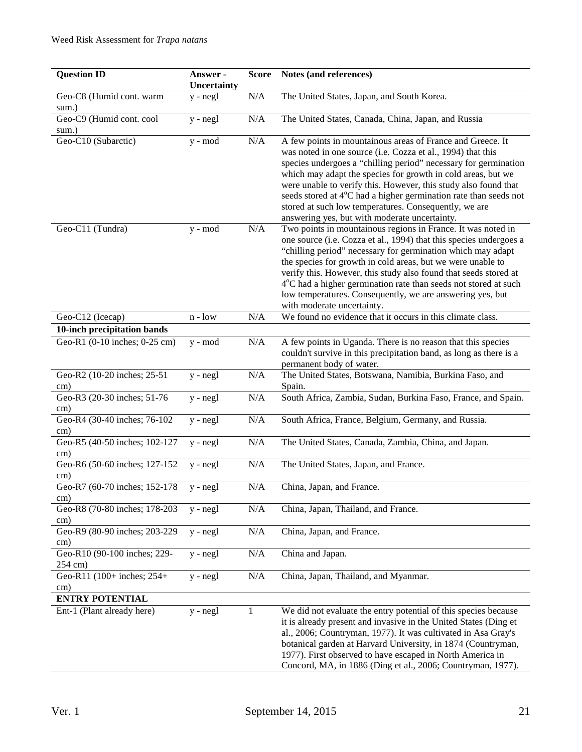| <b>Question ID</b>                             | Answer -<br>Uncertainty | <b>Score</b> | Notes (and references)                                                                                                                                                                                                                                                                                                                                                                                                                                                                                        |
|------------------------------------------------|-------------------------|--------------|---------------------------------------------------------------------------------------------------------------------------------------------------------------------------------------------------------------------------------------------------------------------------------------------------------------------------------------------------------------------------------------------------------------------------------------------------------------------------------------------------------------|
| Geo-C8 (Humid cont. warm<br>sum.)              | $y - negl$              | N/A          | The United States, Japan, and South Korea.                                                                                                                                                                                                                                                                                                                                                                                                                                                                    |
| Geo-C9 (Humid cont. cool<br>sum.)              | $y - negl$              | N/A          | The United States, Canada, China, Japan, and Russia                                                                                                                                                                                                                                                                                                                                                                                                                                                           |
| Geo-C10 (Subarctic)                            | y - mod                 | $\rm N/A$    | A few points in mountainous areas of France and Greece. It<br>was noted in one source (i.e. Cozza et al., 1994) that this<br>species undergoes a "chilling period" necessary for germination<br>which may adapt the species for growth in cold areas, but we<br>were unable to verify this. However, this study also found that<br>seeds stored at 4°C had a higher germination rate than seeds not<br>stored at such low temperatures. Consequently, we are<br>answering yes, but with moderate uncertainty. |
| Geo-C11 (Tundra)                               | y - mod                 | N/A          | Two points in mountainous regions in France. It was noted in<br>one source (i.e. Cozza et al., 1994) that this species undergoes a<br>"chilling period" necessary for germination which may adapt<br>the species for growth in cold areas, but we were unable to<br>verify this. However, this study also found that seeds stored at<br>4°C had a higher germination rate than seeds not stored at such<br>low temperatures. Consequently, we are answering yes, but<br>with moderate uncertainty.            |
| Geo-C12 (Icecap)                               | $n - low$               | N/A          | We found no evidence that it occurs in this climate class.                                                                                                                                                                                                                                                                                                                                                                                                                                                    |
| 10-inch precipitation bands                    |                         |              |                                                                                                                                                                                                                                                                                                                                                                                                                                                                                                               |
| Geo-R1 (0-10 inches; 0-25 cm)                  | y - mod                 | $\rm N/A$    | A few points in Uganda. There is no reason that this species<br>couldn't survive in this precipitation band, as long as there is a<br>permanent body of water.                                                                                                                                                                                                                                                                                                                                                |
| Geo-R2 (10-20 inches; 25-51<br>cm)             | $y - negl$              | N/A          | The United States, Botswana, Namibia, Burkina Faso, and<br>Spain.                                                                                                                                                                                                                                                                                                                                                                                                                                             |
| Geo-R3 (20-30 inches; 51-76<br>cm)             | $y - negl$              | $\rm N/A$    | South Africa, Zambia, Sudan, Burkina Faso, France, and Spain.                                                                                                                                                                                                                                                                                                                                                                                                                                                 |
| Geo-R4 (30-40 inches; 76-102<br>cm)            | y - negl                | $\rm N/A$    | South Africa, France, Belgium, Germany, and Russia.                                                                                                                                                                                                                                                                                                                                                                                                                                                           |
| Geo-R5 (40-50 inches; 102-127<br>$\text{cm}$ ) | y - negl                | $\rm N/A$    | The United States, Canada, Zambia, China, and Japan.                                                                                                                                                                                                                                                                                                                                                                                                                                                          |
| Geo-R6 (50-60 inches; 127-152<br>cm)           | $y - negl$              | N/A          | The United States, Japan, and France.                                                                                                                                                                                                                                                                                                                                                                                                                                                                         |
| Geo-R7 (60-70 inches; 152-178<br>cm)           | y - negl                | $\rm N/A$    | China, Japan, and France.                                                                                                                                                                                                                                                                                                                                                                                                                                                                                     |
| Geo-R8 (70-80 inches; 178-203<br>cm)           | $y - negl$              | $\rm N/A$    | China, Japan, Thailand, and France.                                                                                                                                                                                                                                                                                                                                                                                                                                                                           |
| Geo-R9 (80-90 inches; 203-229<br>cm)           | $y - negl$              | $\rm N/A$    | China, Japan, and France.                                                                                                                                                                                                                                                                                                                                                                                                                                                                                     |
| Geo-R10 (90-100 inches; 229-<br>254 cm)        | y - negl                | $\rm N/A$    | China and Japan.                                                                                                                                                                                                                                                                                                                                                                                                                                                                                              |
| Geo-R11 (100+ inches; 254+<br>cm)              | y - negl                | N/A          | China, Japan, Thailand, and Myanmar.                                                                                                                                                                                                                                                                                                                                                                                                                                                                          |
| <b>ENTRY POTENTIAL</b>                         |                         |              |                                                                                                                                                                                                                                                                                                                                                                                                                                                                                                               |
| Ent-1 (Plant already here)                     | $y - negl$              | 1            | We did not evaluate the entry potential of this species because<br>it is already present and invasive in the United States (Ding et<br>al., 2006; Countryman, 1977). It was cultivated in Asa Gray's<br>botanical garden at Harvard University, in 1874 (Countryman,<br>1977). First observed to have escaped in North America in<br>Concord, MA, in 1886 (Ding et al., 2006; Countryman, 1977).                                                                                                              |